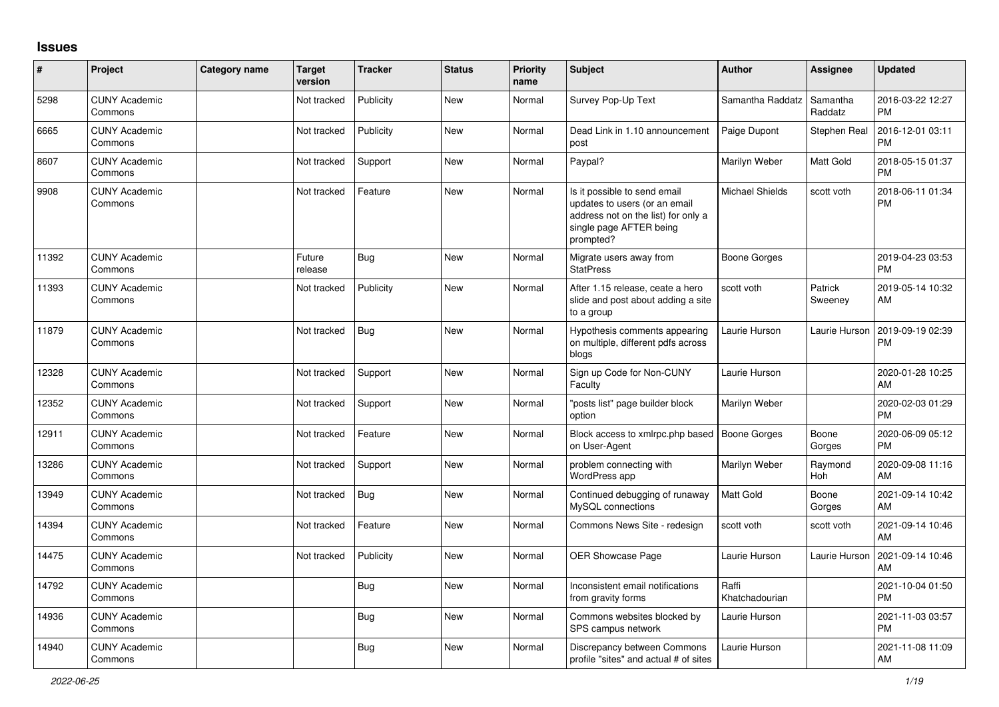## **Issues**

| #     | Project                         | Category name | <b>Target</b><br>version | <b>Tracker</b> | <b>Status</b> | <b>Priority</b><br>name | Subject                                                                                                                                      | <b>Author</b>           | <b>Assignee</b>       | <b>Updated</b>                |
|-------|---------------------------------|---------------|--------------------------|----------------|---------------|-------------------------|----------------------------------------------------------------------------------------------------------------------------------------------|-------------------------|-----------------------|-------------------------------|
| 5298  | <b>CUNY Academic</b><br>Commons |               | Not tracked              | Publicity      | <b>New</b>    | Normal                  | Survey Pop-Up Text                                                                                                                           | Samantha Raddatz        | Samantha<br>Raddatz   | 2016-03-22 12:27<br><b>PM</b> |
| 6665  | <b>CUNY Academic</b><br>Commons |               | Not tracked              | Publicity      | <b>New</b>    | Normal                  | Dead Link in 1.10 announcement<br>post                                                                                                       | Paige Dupont            | <b>Stephen Real</b>   | 2016-12-01 03:11<br><b>PM</b> |
| 8607  | <b>CUNY Academic</b><br>Commons |               | Not tracked              | Support        | <b>New</b>    | Normal                  | Paypal?                                                                                                                                      | Marilyn Weber           | Matt Gold             | 2018-05-15 01:37<br><b>PM</b> |
| 9908  | <b>CUNY Academic</b><br>Commons |               | Not tracked              | Feature        | <b>New</b>    | Normal                  | Is it possible to send email<br>updates to users (or an email<br>address not on the list) for only a<br>single page AFTER being<br>prompted? | <b>Michael Shields</b>  | scott voth            | 2018-06-11 01:34<br><b>PM</b> |
| 11392 | <b>CUNY Academic</b><br>Commons |               | Future<br>release        | <b>Bug</b>     | <b>New</b>    | Normal                  | Migrate users away from<br><b>StatPress</b>                                                                                                  | <b>Boone Gorges</b>     |                       | 2019-04-23 03:53<br><b>PM</b> |
| 11393 | <b>CUNY Academic</b><br>Commons |               | Not tracked              | Publicity      | New           | Normal                  | After 1.15 release, ceate a hero<br>slide and post about adding a site<br>to a group                                                         | scott voth              | Patrick<br>Sweeney    | 2019-05-14 10:32<br>AM        |
| 11879 | <b>CUNY Academic</b><br>Commons |               | Not tracked              | Bug            | <b>New</b>    | Normal                  | Hypothesis comments appearing<br>on multiple, different pdfs across<br>blogs                                                                 | Laurie Hurson           | Laurie Hurson         | 2019-09-19 02:39<br>PM        |
| 12328 | <b>CUNY Academic</b><br>Commons |               | Not tracked              | Support        | New           | Normal                  | Sign up Code for Non-CUNY<br>Faculty                                                                                                         | Laurie Hurson           |                       | 2020-01-28 10:25<br>AM        |
| 12352 | <b>CUNY Academic</b><br>Commons |               | Not tracked              | Support        | <b>New</b>    | Normal                  | "posts list" page builder block<br>option                                                                                                    | Marilyn Weber           |                       | 2020-02-03 01:29<br>PM        |
| 12911 | <b>CUNY Academic</b><br>Commons |               | Not tracked              | Feature        | <b>New</b>    | Normal                  | Block access to xmlrpc.php based<br>on User-Agent                                                                                            | Boone Gorges            | Boone<br>Gorges       | 2020-06-09 05:12<br><b>PM</b> |
| 13286 | <b>CUNY Academic</b><br>Commons |               | Not tracked              | Support        | <b>New</b>    | Normal                  | problem connecting with<br>WordPress app                                                                                                     | Marilyn Weber           | Raymond<br><b>Hoh</b> | 2020-09-08 11:16<br>AM        |
| 13949 | <b>CUNY Academic</b><br>Commons |               | Not tracked              | <b>Bug</b>     | <b>New</b>    | Normal                  | Continued debugging of runaway<br>MySQL connections                                                                                          | Matt Gold               | Boone<br>Gorges       | 2021-09-14 10:42<br>AM        |
| 14394 | <b>CUNY Academic</b><br>Commons |               | Not tracked              | Feature        | New           | Normal                  | Commons News Site - redesign                                                                                                                 | scott voth              | scott voth            | 2021-09-14 10:46<br>AM        |
| 14475 | <b>CUNY Academic</b><br>Commons |               | Not tracked              | Publicity      | <b>New</b>    | Normal                  | <b>OER Showcase Page</b>                                                                                                                     | Laurie Hurson           | Laurie Hurson         | 2021-09-14 10:46<br>AM        |
| 14792 | <b>CUNY Academic</b><br>Commons |               |                          | <b>Bug</b>     | New           | Normal                  | Inconsistent email notifications<br>from gravity forms                                                                                       | Raffi<br>Khatchadourian |                       | 2021-10-04 01:50<br><b>PM</b> |
| 14936 | <b>CUNY Academic</b><br>Commons |               |                          | <b>Bug</b>     | New           | Normal                  | Commons websites blocked by<br>SPS campus network                                                                                            | Laurie Hurson           |                       | 2021-11-03 03:57<br><b>PM</b> |
| 14940 | <b>CUNY Academic</b><br>Commons |               |                          | Bug            | <b>New</b>    | Normal                  | Discrepancy between Commons<br>profile "sites" and actual # of sites                                                                         | Laurie Hurson           |                       | 2021-11-08 11:09<br>AM        |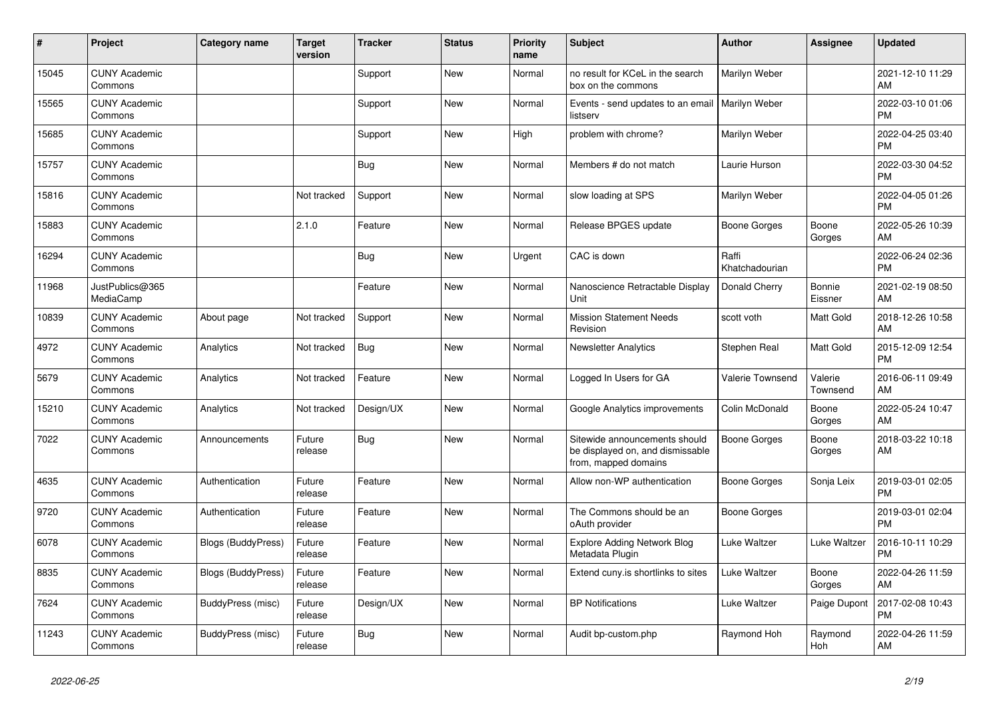| #     | Project                         | Category name             | <b>Target</b><br>version | <b>Tracker</b> | <b>Status</b> | <b>Priority</b><br>name | <b>Subject</b>                                                                            | <b>Author</b>           | <b>Assignee</b>     | <b>Updated</b>                |
|-------|---------------------------------|---------------------------|--------------------------|----------------|---------------|-------------------------|-------------------------------------------------------------------------------------------|-------------------------|---------------------|-------------------------------|
| 15045 | <b>CUNY Academic</b><br>Commons |                           |                          | Support        | New           | Normal                  | no result for KCeL in the search<br>box on the commons                                    | Marilyn Weber           |                     | 2021-12-10 11:29<br>AM        |
| 15565 | <b>CUNY Academic</b><br>Commons |                           |                          | Support        | <b>New</b>    | Normal                  | Events - send updates to an email<br>listserv                                             | Marilyn Weber           |                     | 2022-03-10 01:06<br><b>PM</b> |
| 15685 | <b>CUNY Academic</b><br>Commons |                           |                          | Support        | <b>New</b>    | High                    | problem with chrome?                                                                      | Marilyn Weber           |                     | 2022-04-25 03:40<br><b>PM</b> |
| 15757 | <b>CUNY Academic</b><br>Commons |                           |                          | <b>Bug</b>     | <b>New</b>    | Normal                  | Members # do not match                                                                    | Laurie Hurson           |                     | 2022-03-30 04:52<br><b>PM</b> |
| 15816 | <b>CUNY Academic</b><br>Commons |                           | Not tracked              | Support        | <b>New</b>    | Normal                  | slow loading at SPS                                                                       | Marilyn Weber           |                     | 2022-04-05 01:26<br><b>PM</b> |
| 15883 | <b>CUNY Academic</b><br>Commons |                           | 2.1.0                    | Feature        | New           | Normal                  | Release BPGES update                                                                      | <b>Boone Gorges</b>     | Boone<br>Gorges     | 2022-05-26 10:39<br>AM        |
| 16294 | <b>CUNY Academic</b><br>Commons |                           |                          | Bug            | <b>New</b>    | Urgent                  | CAC is down                                                                               | Raffi<br>Khatchadourian |                     | 2022-06-24 02:36<br><b>PM</b> |
| 11968 | JustPublics@365<br>MediaCamp    |                           |                          | Feature        | <b>New</b>    | Normal                  | Nanoscience Retractable Display<br>Unit                                                   | Donald Cherry           | Bonnie<br>Eissner   | 2021-02-19 08:50<br>AM        |
| 10839 | <b>CUNY Academic</b><br>Commons | About page                | Not tracked              | Support        | <b>New</b>    | Normal                  | <b>Mission Statement Needs</b><br>Revision                                                | scott voth              | Matt Gold           | 2018-12-26 10:58<br>AM        |
| 4972  | <b>CUNY Academic</b><br>Commons | Analytics                 | Not tracked              | <b>Bug</b>     | <b>New</b>    | Normal                  | <b>Newsletter Analytics</b>                                                               | Stephen Real            | Matt Gold           | 2015-12-09 12:54<br><b>PM</b> |
| 5679  | <b>CUNY Academic</b><br>Commons | Analytics                 | Not tracked              | Feature        | <b>New</b>    | Normal                  | Logged In Users for GA                                                                    | Valerie Townsend        | Valerie<br>Townsend | 2016-06-11 09:49<br>AM        |
| 15210 | <b>CUNY Academic</b><br>Commons | Analytics                 | Not tracked              | Design/UX      | New           | Normal                  | Google Analytics improvements                                                             | Colin McDonald          | Boone<br>Gorges     | 2022-05-24 10:47<br>AM        |
| 7022  | <b>CUNY Academic</b><br>Commons | Announcements             | Future<br>release        | <b>Bug</b>     | <b>New</b>    | Normal                  | Sitewide announcements should<br>be displayed on, and dismissable<br>from, mapped domains | <b>Boone Gorges</b>     | Boone<br>Gorges     | 2018-03-22 10:18<br>AM        |
| 4635  | <b>CUNY Academic</b><br>Commons | Authentication            | Future<br>release        | Feature        | <b>New</b>    | Normal                  | Allow non-WP authentication                                                               | <b>Boone Gorges</b>     | Sonja Leix          | 2019-03-01 02:05<br><b>PM</b> |
| 9720  | <b>CUNY Academic</b><br>Commons | Authentication            | Future<br>release        | Feature        | <b>New</b>    | Normal                  | The Commons should be an<br>oAuth provider                                                | <b>Boone Gorges</b>     |                     | 2019-03-01 02:04<br><b>PM</b> |
| 6078  | <b>CUNY Academic</b><br>Commons | <b>Blogs (BuddyPress)</b> | Future<br>release        | Feature        | <b>New</b>    | Normal                  | <b>Explore Adding Network Blog</b><br>Metadata Plugin                                     | <b>Luke Waltzer</b>     | Luke Waltzer        | 2016-10-11 10:29<br><b>PM</b> |
| 8835  | <b>CUNY Academic</b><br>Commons | <b>Blogs (BuddyPress)</b> | Future<br>release        | Feature        | <b>New</b>    | Normal                  | Extend cuny.is shortlinks to sites                                                        | Luke Waltzer            | Boone<br>Gorges     | 2022-04-26 11:59<br>AM        |
| 7624  | <b>CUNY Academic</b><br>Commons | BuddyPress (misc)         | Future<br>release        | Design/UX      | New           | Normal                  | <b>BP</b> Notifications                                                                   | Luke Waltzer            | Paige Dupont        | 2017-02-08 10:43<br><b>PM</b> |
| 11243 | <b>CUNY Academic</b><br>Commons | BuddyPress (misc)         | Future<br>release        | <b>Bug</b>     | <b>New</b>    | Normal                  | Audit bp-custom.php                                                                       | Raymond Hoh             | Raymond<br>Hoh      | 2022-04-26 11:59<br>AM        |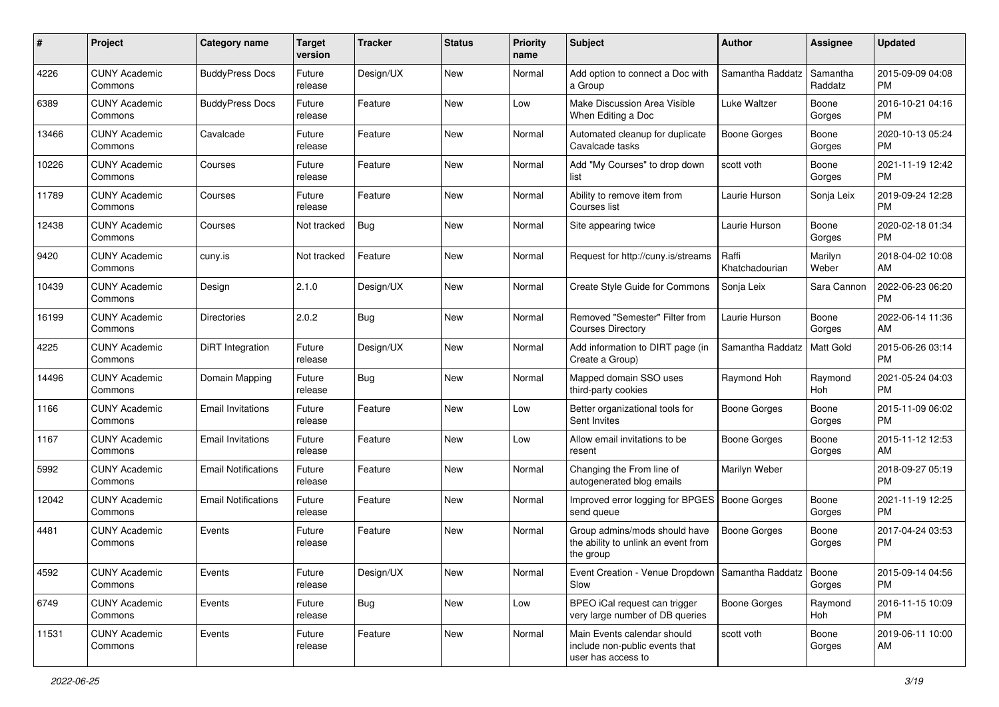| #     | Project                         | <b>Category name</b>       | <b>Target</b><br>version | <b>Tracker</b> | <b>Status</b> | <b>Priority</b><br>name | Subject                                                                             | Author                  | <b>Assignee</b>     | <b>Updated</b>                |
|-------|---------------------------------|----------------------------|--------------------------|----------------|---------------|-------------------------|-------------------------------------------------------------------------------------|-------------------------|---------------------|-------------------------------|
| 4226  | <b>CUNY Academic</b><br>Commons | <b>BuddyPress Docs</b>     | Future<br>release        | Design/UX      | New           | Normal                  | Add option to connect a Doc with<br>a Group                                         | Samantha Raddatz        | Samantha<br>Raddatz | 2015-09-09 04:08<br>PM        |
| 6389  | <b>CUNY Academic</b><br>Commons | <b>BuddyPress Docs</b>     | Future<br>release        | Feature        | New           | Low                     | Make Discussion Area Visible<br>When Editing a Doc                                  | Luke Waltzer            | Boone<br>Gorges     | 2016-10-21 04:16<br><b>PM</b> |
| 13466 | <b>CUNY Academic</b><br>Commons | Cavalcade                  | Future<br>release        | Feature        | New           | Normal                  | Automated cleanup for duplicate<br>Cavalcade tasks                                  | <b>Boone Gorges</b>     | Boone<br>Gorges     | 2020-10-13 05:24<br><b>PM</b> |
| 10226 | <b>CUNY Academic</b><br>Commons | Courses                    | Future<br>release        | Feature        | <b>New</b>    | Normal                  | Add "My Courses" to drop down<br>list                                               | scott voth              | Boone<br>Gorges     | 2021-11-19 12:42<br><b>PM</b> |
| 11789 | <b>CUNY Academic</b><br>Commons | Courses                    | Future<br>release        | Feature        | <b>New</b>    | Normal                  | Ability to remove item from<br>Courses list                                         | Laurie Hurson           | Sonja Leix          | 2019-09-24 12:28<br><b>PM</b> |
| 12438 | <b>CUNY Academic</b><br>Commons | Courses                    | Not tracked              | Bug            | New           | Normal                  | Site appearing twice                                                                | Laurie Hurson           | Boone<br>Gorges     | 2020-02-18 01:34<br><b>PM</b> |
| 9420  | <b>CUNY Academic</b><br>Commons | cuny.is                    | Not tracked              | Feature        | <b>New</b>    | Normal                  | Request for http://cuny.is/streams                                                  | Raffi<br>Khatchadourian | Marilyn<br>Weber    | 2018-04-02 10:08<br>AM        |
| 10439 | <b>CUNY Academic</b><br>Commons | Design                     | 2.1.0                    | Design/UX      | New           | Normal                  | Create Style Guide for Commons                                                      | Sonja Leix              | Sara Cannon         | 2022-06-23 06:20<br>PM        |
| 16199 | <b>CUNY Academic</b><br>Commons | <b>Directories</b>         | 2.0.2                    | Bug            | New           | Normal                  | Removed "Semester" Filter from<br><b>Courses Directory</b>                          | Laurie Hurson           | Boone<br>Gorges     | 2022-06-14 11:36<br>AM        |
| 4225  | <b>CUNY Academic</b><br>Commons | <b>DiRT</b> Integration    | Future<br>release        | Design/UX      | New           | Normal                  | Add information to DIRT page (in<br>Create a Group)                                 | Samantha Raddatz        | Matt Gold           | 2015-06-26 03:14<br><b>PM</b> |
| 14496 | <b>CUNY Academic</b><br>Commons | Domain Mapping             | Future<br>release        | Bug            | New           | Normal                  | Mapped domain SSO uses<br>third-party cookies                                       | Raymond Hoh             | Raymond<br>Hoh      | 2021-05-24 04:03<br><b>PM</b> |
| 1166  | <b>CUNY Academic</b><br>Commons | <b>Email Invitations</b>   | Future<br>release        | Feature        | New           | Low                     | Better organizational tools for<br>Sent Invites                                     | Boone Gorges            | Boone<br>Gorges     | 2015-11-09 06:02<br><b>PM</b> |
| 1167  | <b>CUNY Academic</b><br>Commons | <b>Email Invitations</b>   | Future<br>release        | Feature        | <b>New</b>    | Low                     | Allow email invitations to be<br>resent                                             | <b>Boone Gorges</b>     | Boone<br>Gorges     | 2015-11-12 12:53<br>AM        |
| 5992  | <b>CUNY Academic</b><br>Commons | <b>Email Notifications</b> | Future<br>release        | Feature        | <b>New</b>    | Normal                  | Changing the From line of<br>autogenerated blog emails                              | Marilyn Weber           |                     | 2018-09-27 05:19<br><b>PM</b> |
| 12042 | <b>CUNY Academic</b><br>Commons | <b>Email Notifications</b> | Future<br>release        | Feature        | <b>New</b>    | Normal                  | Improved error logging for BPGES<br>send queue                                      | Boone Gorges            | Boone<br>Gorges     | 2021-11-19 12:25<br><b>PM</b> |
| 4481  | <b>CUNY Academic</b><br>Commons | Events                     | Future<br>release        | Feature        | New           | Normal                  | Group admins/mods should have<br>the ability to unlink an event from<br>the group   | <b>Boone Gorges</b>     | Boone<br>Gorges     | 2017-04-24 03:53<br><b>PM</b> |
| 4592  | <b>CUNY Academic</b><br>Commons | Events                     | Future<br>release        | Design/UX      | New           | Normal                  | Event Creation - Venue Dropdown   Samantha Raddatz   Boone<br>Slow                  |                         | Gorges              | 2015-09-14 04:56<br><b>PM</b> |
| 6749  | <b>CUNY Academic</b><br>Commons | Events                     | Future<br>release        | Bug            | New           | Low                     | BPEO iCal request can trigger<br>very large number of DB queries                    | Boone Gorges            | Raymond<br>Hoh      | 2016-11-15 10:09<br><b>PM</b> |
| 11531 | <b>CUNY Academic</b><br>Commons | Events                     | Future<br>release        | Feature        | New           | Normal                  | Main Events calendar should<br>include non-public events that<br>user has access to | scott voth              | Boone<br>Gorges     | 2019-06-11 10:00<br>AM        |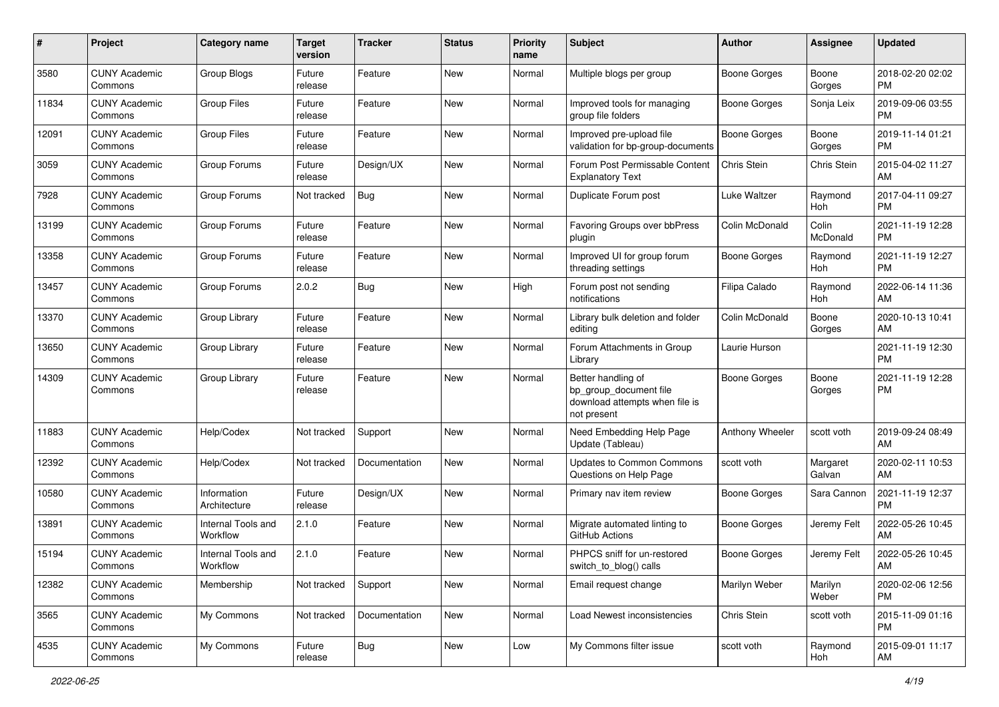| #     | Project                         | <b>Category name</b>           | <b>Target</b><br>version | <b>Tracker</b> | <b>Status</b> | <b>Priority</b><br>name | <b>Subject</b>                                                                                | Author              | Assignee           | <b>Updated</b>                |
|-------|---------------------------------|--------------------------------|--------------------------|----------------|---------------|-------------------------|-----------------------------------------------------------------------------------------------|---------------------|--------------------|-------------------------------|
| 3580  | <b>CUNY Academic</b><br>Commons | Group Blogs                    | Future<br>release        | Feature        | <b>New</b>    | Normal                  | Multiple blogs per group                                                                      | <b>Boone Gorges</b> | Boone<br>Gorges    | 2018-02-20 02:02<br><b>PM</b> |
| 11834 | <b>CUNY Academic</b><br>Commons | Group Files                    | Future<br>release        | Feature        | New           | Normal                  | Improved tools for managing<br>group file folders                                             | <b>Boone Gorges</b> | Sonja Leix         | 2019-09-06 03:55<br><b>PM</b> |
| 12091 | <b>CUNY Academic</b><br>Commons | <b>Group Files</b>             | Future<br>release        | Feature        | New           | Normal                  | Improved pre-upload file<br>validation for bp-group-documents                                 | Boone Gorges        | Boone<br>Gorges    | 2019-11-14 01:21<br><b>PM</b> |
| 3059  | <b>CUNY Academic</b><br>Commons | Group Forums                   | Future<br>release        | Design/UX      | New           | Normal                  | Forum Post Permissable Content<br><b>Explanatory Text</b>                                     | <b>Chris Stein</b>  | Chris Stein        | 2015-04-02 11:27<br>AM        |
| 7928  | <b>CUNY Academic</b><br>Commons | Group Forums                   | Not tracked              | <b>Bug</b>     | <b>New</b>    | Normal                  | Duplicate Forum post                                                                          | Luke Waltzer        | Raymond<br>Hoh     | 2017-04-11 09:27<br><b>PM</b> |
| 13199 | <b>CUNY Academic</b><br>Commons | Group Forums                   | Future<br>release        | Feature        | New           | Normal                  | Favoring Groups over bbPress<br>plugin                                                        | Colin McDonald      | Colin<br>McDonald  | 2021-11-19 12:28<br>PM        |
| 13358 | <b>CUNY Academic</b><br>Commons | Group Forums                   | Future<br>release        | Feature        | New           | Normal                  | Improved UI for group forum<br>threading settings                                             | <b>Boone Gorges</b> | Raymond<br>Hoh     | 2021-11-19 12:27<br><b>PM</b> |
| 13457 | <b>CUNY Academic</b><br>Commons | Group Forums                   | 2.0.2                    | Bug            | <b>New</b>    | High                    | Forum post not sending<br>notifications                                                       | Filipa Calado       | Raymond<br>Hoh     | 2022-06-14 11:36<br>AM        |
| 13370 | <b>CUNY Academic</b><br>Commons | Group Library                  | Future<br>release        | Feature        | <b>New</b>    | Normal                  | Library bulk deletion and folder<br>editing                                                   | Colin McDonald      | Boone<br>Gorges    | 2020-10-13 10:41<br>AM        |
| 13650 | <b>CUNY Academic</b><br>Commons | Group Library                  | Future<br>release        | Feature        | New           | Normal                  | Forum Attachments in Group<br>Library                                                         | Laurie Hurson       |                    | 2021-11-19 12:30<br><b>PM</b> |
| 14309 | <b>CUNY Academic</b><br>Commons | Group Library                  | Future<br>release        | Feature        | <b>New</b>    | Normal                  | Better handling of<br>bp_group_document file<br>download attempts when file is<br>not present | Boone Gorges        | Boone<br>Gorges    | 2021-11-19 12:28<br><b>PM</b> |
| 11883 | <b>CUNY Academic</b><br>Commons | Help/Codex                     | Not tracked              | Support        | <b>New</b>    | Normal                  | Need Embedding Help Page<br>Update (Tableau)                                                  | Anthony Wheeler     | scott voth         | 2019-09-24 08:49<br>AM        |
| 12392 | <b>CUNY Academic</b><br>Commons | Help/Codex                     | Not tracked              | Documentation  | New           | Normal                  | <b>Updates to Common Commons</b><br>Questions on Help Page                                    | scott voth          | Margaret<br>Galvan | 2020-02-11 10:53<br>AM        |
| 10580 | <b>CUNY Academic</b><br>Commons | Information<br>Architecture    | Future<br>release        | Design/UX      | New           | Normal                  | Primary nav item review                                                                       | Boone Gorges        | Sara Cannon        | 2021-11-19 12:37<br><b>PM</b> |
| 13891 | <b>CUNY Academic</b><br>Commons | Internal Tools and<br>Workflow | 2.1.0                    | Feature        | New           | Normal                  | Migrate automated linting to<br>GitHub Actions                                                | Boone Gorges        | Jeremy Felt        | 2022-05-26 10:45<br>AM        |
| 15194 | <b>CUNY Academic</b><br>Commons | Internal Tools and<br>Workflow | 2.1.0                    | Feature        | New           | Normal                  | PHPCS sniff for un-restored<br>switch_to_blog() calls                                         | Boone Gorges        | Jeremy Felt        | 2022-05-26 10:45<br>AM        |
| 12382 | <b>CUNY Academic</b><br>Commons | Membership                     | Not tracked              | Support        | New           | Normal                  | Email request change                                                                          | Marilyn Weber       | Marilyn<br>Weber   | 2020-02-06 12:56<br>PM        |
| 3565  | <b>CUNY Academic</b><br>Commons | My Commons                     | Not tracked              | Documentation  | New           | Normal                  | Load Newest inconsistencies                                                                   | Chris Stein         | scott voth         | 2015-11-09 01:16<br>PM        |
| 4535  | <b>CUNY Academic</b><br>Commons | My Commons                     | Future<br>release        | <b>Bug</b>     | New           | Low                     | My Commons filter issue                                                                       | scott voth          | Raymond<br>Hoh     | 2015-09-01 11:17<br>AM        |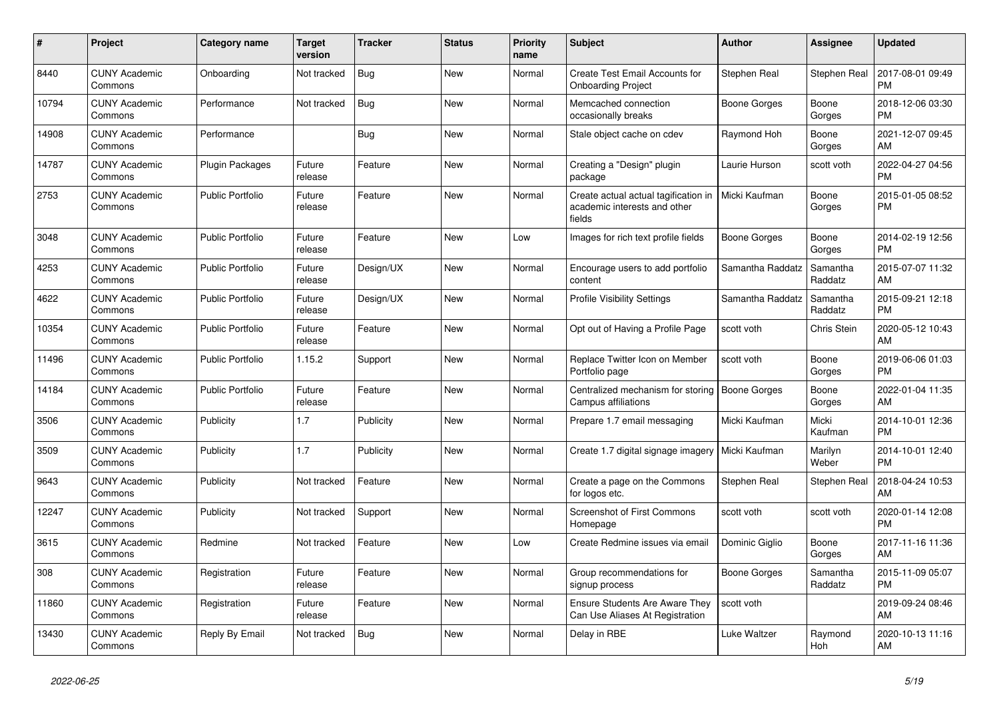| #     | Project                         | <b>Category name</b>    | Target<br>version | <b>Tracker</b> | <b>Status</b> | <b>Priority</b><br>name | <b>Subject</b>                                                                 | <b>Author</b>       | <b>Assignee</b>     | <b>Updated</b>                |
|-------|---------------------------------|-------------------------|-------------------|----------------|---------------|-------------------------|--------------------------------------------------------------------------------|---------------------|---------------------|-------------------------------|
| 8440  | <b>CUNY Academic</b><br>Commons | Onboarding              | Not tracked       | <b>Bug</b>     | <b>New</b>    | Normal                  | <b>Create Test Email Accounts for</b><br><b>Onboarding Project</b>             | Stephen Real        | Stephen Real        | 2017-08-01 09:49<br><b>PM</b> |
| 10794 | <b>CUNY Academic</b><br>Commons | Performance             | Not tracked       | Bug            | <b>New</b>    | Normal                  | Memcached connection<br>occasionally breaks                                    | Boone Gorges        | Boone<br>Gorges     | 2018-12-06 03:30<br><b>PM</b> |
| 14908 | <b>CUNY Academic</b><br>Commons | Performance             |                   | <b>Bug</b>     | <b>New</b>    | Normal                  | Stale object cache on cdev                                                     | Raymond Hoh         | Boone<br>Gorges     | 2021-12-07 09:45<br>AM        |
| 14787 | <b>CUNY Academic</b><br>Commons | <b>Plugin Packages</b>  | Future<br>release | Feature        | <b>New</b>    | Normal                  | Creating a "Design" plugin<br>package                                          | Laurie Hurson       | scott voth          | 2022-04-27 04:56<br><b>PM</b> |
| 2753  | <b>CUNY Academic</b><br>Commons | <b>Public Portfolio</b> | Future<br>release | Feature        | New           | Normal                  | Create actual actual tagification in<br>academic interests and other<br>fields | Micki Kaufman       | Boone<br>Gorges     | 2015-01-05 08:52<br><b>PM</b> |
| 3048  | <b>CUNY Academic</b><br>Commons | <b>Public Portfolio</b> | Future<br>release | Feature        | <b>New</b>    | Low                     | Images for rich text profile fields                                            | Boone Gorges        | Boone<br>Gorges     | 2014-02-19 12:56<br><b>PM</b> |
| 4253  | <b>CUNY Academic</b><br>Commons | <b>Public Portfolio</b> | Future<br>release | Design/UX      | New           | Normal                  | Encourage users to add portfolio<br>content                                    | Samantha Raddatz    | Samantha<br>Raddatz | 2015-07-07 11:32<br>AM        |
| 4622  | <b>CUNY Academic</b><br>Commons | <b>Public Portfolio</b> | Future<br>release | Design/UX      | <b>New</b>    | Normal                  | <b>Profile Visibility Settings</b>                                             | Samantha Raddatz    | Samantha<br>Raddatz | 2015-09-21 12:18<br><b>PM</b> |
| 10354 | <b>CUNY Academic</b><br>Commons | <b>Public Portfolio</b> | Future<br>release | Feature        | <b>New</b>    | Normal                  | Opt out of Having a Profile Page                                               | scott voth          | Chris Stein         | 2020-05-12 10:43<br>AM        |
| 11496 | <b>CUNY Academic</b><br>Commons | <b>Public Portfolio</b> | 1.15.2            | Support        | <b>New</b>    | Normal                  | Replace Twitter Icon on Member<br>Portfolio page                               | scott voth          | Boone<br>Gorges     | 2019-06-06 01:03<br><b>PM</b> |
| 14184 | <b>CUNY Academic</b><br>Commons | <b>Public Portfolio</b> | Future<br>release | Feature        | <b>New</b>    | Normal                  | Centralized mechanism for storing<br>Campus affiliations                       | <b>Boone Gorges</b> | Boone<br>Gorges     | 2022-01-04 11:35<br>AM        |
| 3506  | <b>CUNY Academic</b><br>Commons | Publicity               | 1.7               | Publicity      | <b>New</b>    | Normal                  | Prepare 1.7 email messaging                                                    | Micki Kaufman       | Micki<br>Kaufman    | 2014-10-01 12:36<br><b>PM</b> |
| 3509  | <b>CUNY Academic</b><br>Commons | Publicity               | 1.7               | Publicity      | New           | Normal                  | Create 1.7 digital signage imagery                                             | Micki Kaufman       | Marilyn<br>Weber    | 2014-10-01 12:40<br><b>PM</b> |
| 9643  | <b>CUNY Academic</b><br>Commons | Publicity               | Not tracked       | Feature        | New           | Normal                  | Create a page on the Commons<br>for logos etc.                                 | Stephen Real        | <b>Stephen Real</b> | 2018-04-24 10:53<br>AM        |
| 12247 | <b>CUNY Academic</b><br>Commons | Publicity               | Not tracked       | Support        | New           | Normal                  | <b>Screenshot of First Commons</b><br>Homepage                                 | scott voth          | scott voth          | 2020-01-14 12:08<br><b>PM</b> |
| 3615  | <b>CUNY Academic</b><br>Commons | Redmine                 | Not tracked       | Feature        | New           | Low                     | Create Redmine issues via email                                                | Dominic Giglio      | Boone<br>Gorges     | 2017-11-16 11:36<br>AM        |
| 308   | <b>CUNY Academic</b><br>Commons | Registration            | Future<br>release | Feature        | <b>New</b>    | Normal                  | Group recommendations for<br>signup process                                    | Boone Gorges        | Samantha<br>Raddatz | 2015-11-09 05:07<br><b>PM</b> |
| 11860 | <b>CUNY Academic</b><br>Commons | Registration            | Future<br>release | Feature        | New           | Normal                  | <b>Ensure Students Are Aware They</b><br>Can Use Aliases At Registration       | scott voth          |                     | 2019-09-24 08:46<br>AM        |
| 13430 | <b>CUNY Academic</b><br>Commons | Reply By Email          | Not tracked       | Bug            | <b>New</b>    | Normal                  | Delay in RBE                                                                   | Luke Waltzer        | Raymond<br>Hoh      | 2020-10-13 11:16<br>AM        |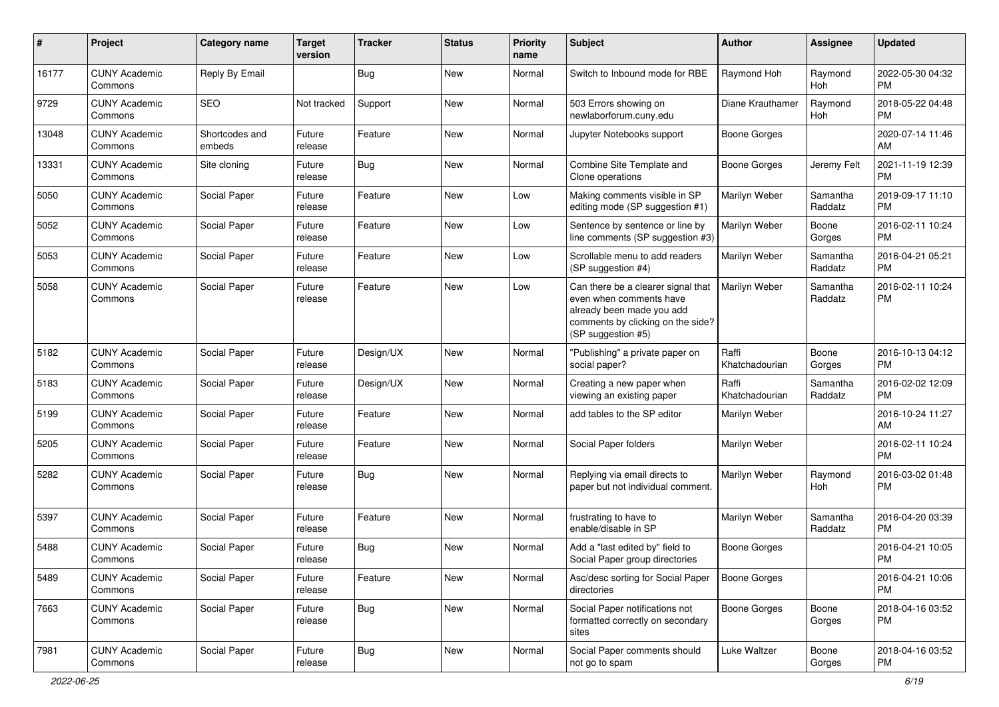| #     | Project                         | <b>Category name</b>     | <b>Target</b><br>version | <b>Tracker</b> | <b>Status</b> | <b>Priority</b><br>name | Subject                                                                                                                                               | Author                  | <b>Assignee</b>     | <b>Updated</b>                |
|-------|---------------------------------|--------------------------|--------------------------|----------------|---------------|-------------------------|-------------------------------------------------------------------------------------------------------------------------------------------------------|-------------------------|---------------------|-------------------------------|
| 16177 | <b>CUNY Academic</b><br>Commons | Reply By Email           |                          | <b>Bug</b>     | New           | Normal                  | Switch to Inbound mode for RBE                                                                                                                        | Raymond Hoh             | Raymond<br>Hoh      | 2022-05-30 04:32<br><b>PM</b> |
| 9729  | <b>CUNY Academic</b><br>Commons | <b>SEO</b>               | Not tracked              | Support        | New           | Normal                  | 503 Errors showing on<br>newlaborforum.cuny.edu                                                                                                       | Diane Krauthamer        | Raymond<br>Hoh      | 2018-05-22 04:48<br><b>PM</b> |
| 13048 | <b>CUNY Academic</b><br>Commons | Shortcodes and<br>embeds | Future<br>release        | Feature        | New           | Normal                  | Jupyter Notebooks support                                                                                                                             | <b>Boone Gorges</b>     |                     | 2020-07-14 11:46<br>AM        |
| 13331 | <b>CUNY Academic</b><br>Commons | Site cloning             | Future<br>release        | Bug            | New           | Normal                  | Combine Site Template and<br>Clone operations                                                                                                         | Boone Gorges            | Jeremy Felt         | 2021-11-19 12:39<br>PM        |
| 5050  | <b>CUNY Academic</b><br>Commons | Social Paper             | Future<br>release        | Feature        | New           | Low                     | Making comments visible in SP<br>editing mode (SP suggestion #1)                                                                                      | Marilyn Weber           | Samantha<br>Raddatz | 2019-09-17 11:10<br>PM        |
| 5052  | <b>CUNY Academic</b><br>Commons | Social Paper             | Future<br>release        | Feature        | New           | Low                     | Sentence by sentence or line by<br>line comments (SP suggestion #3)                                                                                   | Marilyn Weber           | Boone<br>Gorges     | 2016-02-11 10:24<br><b>PM</b> |
| 5053  | <b>CUNY Academic</b><br>Commons | Social Paper             | Future<br>release        | Feature        | <b>New</b>    | Low                     | Scrollable menu to add readers<br>(SP suggestion #4)                                                                                                  | Marilyn Weber           | Samantha<br>Raddatz | 2016-04-21 05:21<br><b>PM</b> |
| 5058  | <b>CUNY Academic</b><br>Commons | Social Paper             | Future<br>release        | Feature        | New           | Low                     | Can there be a clearer signal that<br>even when comments have<br>already been made you add<br>comments by clicking on the side?<br>(SP suggestion #5) | Marilyn Weber           | Samantha<br>Raddatz | 2016-02-11 10:24<br><b>PM</b> |
| 5182  | <b>CUNY Academic</b><br>Commons | Social Paper             | Future<br>release        | Design/UX      | New           | Normal                  | "Publishing" a private paper on<br>social paper?                                                                                                      | Raffi<br>Khatchadourian | Boone<br>Gorges     | 2016-10-13 04:12<br><b>PM</b> |
| 5183  | <b>CUNY Academic</b><br>Commons | Social Paper             | Future<br>release        | Design/UX      | New           | Normal                  | Creating a new paper when<br>viewing an existing paper                                                                                                | Raffi<br>Khatchadourian | Samantha<br>Raddatz | 2016-02-02 12:09<br><b>PM</b> |
| 5199  | <b>CUNY Academic</b><br>Commons | Social Paper             | Future<br>release        | Feature        | New           | Normal                  | add tables to the SP editor                                                                                                                           | Marilyn Weber           |                     | 2016-10-24 11:27<br>AM        |
| 5205  | <b>CUNY Academic</b><br>Commons | Social Paper             | Future<br>release        | Feature        | New           | Normal                  | Social Paper folders                                                                                                                                  | Marilyn Weber           |                     | 2016-02-11 10:24<br><b>PM</b> |
| 5282  | <b>CUNY Academic</b><br>Commons | Social Paper             | Future<br>release        | <b>Bug</b>     | New           | Normal                  | Replying via email directs to<br>paper but not individual comment.                                                                                    | Marilyn Weber           | Raymond<br>Hoh      | 2016-03-02 01:48<br>PM        |
| 5397  | <b>CUNY Academic</b><br>Commons | Social Paper             | Future<br>release        | Feature        | New           | Normal                  | frustrating to have to<br>enable/disable in SP                                                                                                        | Marilyn Weber           | Samantha<br>Raddatz | 2016-04-20 03:39<br><b>PM</b> |
| 5488  | CUNY Academic<br>Commons        | Social Paper             | Future<br>release        | <b>Bug</b>     | New           | Normal                  | Add a "last edited by" field to<br>Social Paper group directories                                                                                     | <b>Boone Gorges</b>     |                     | 2016-04-21 10:05<br>PM        |
| 5489  | <b>CUNY Academic</b><br>Commons | Social Paper             | Future<br>release        | Feature        | New           | Normal                  | Asc/desc sorting for Social Paper<br>directories                                                                                                      | <b>Boone Gorges</b>     |                     | 2016-04-21 10:06<br><b>PM</b> |
| 7663  | <b>CUNY Academic</b><br>Commons | Social Paper             | Future<br>release        | Bug            | New           | Normal                  | Social Paper notifications not<br>formatted correctly on secondary<br>sites                                                                           | Boone Gorges            | Boone<br>Gorges     | 2018-04-16 03:52<br>PM        |
| 7981  | <b>CUNY Academic</b><br>Commons | Social Paper             | Future<br>release        | <b>Bug</b>     | New           | Normal                  | Social Paper comments should<br>not go to spam                                                                                                        | Luke Waltzer            | Boone<br>Gorges     | 2018-04-16 03:52<br>PM        |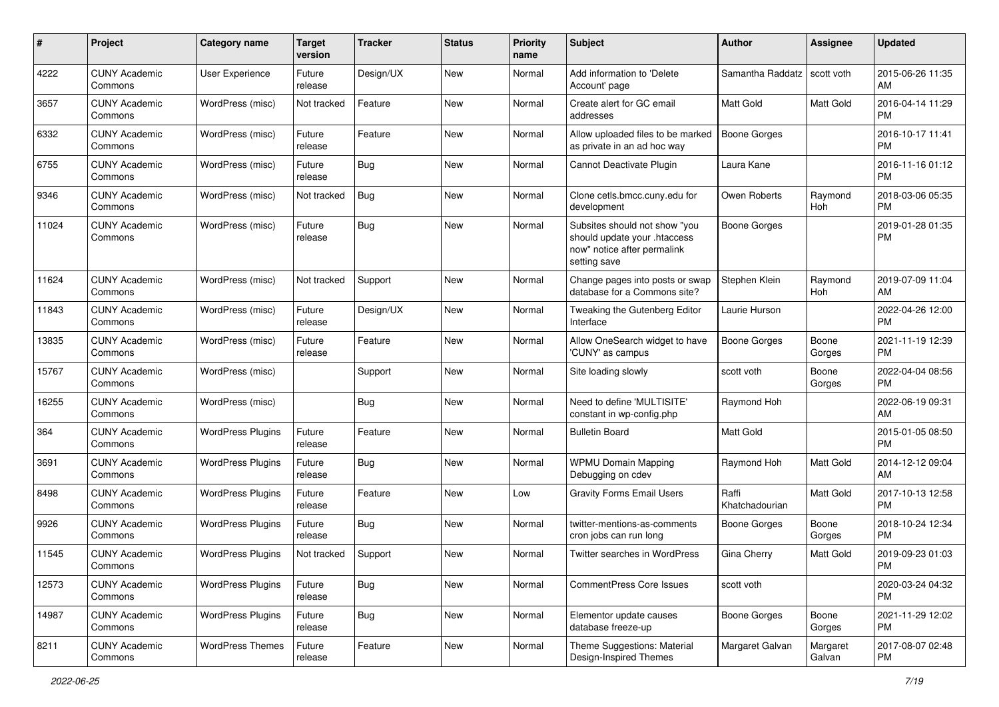| #     | Project                         | <b>Category name</b>     | <b>Target</b><br>version | <b>Tracker</b> | <b>Status</b> | <b>Priority</b><br>name | <b>Subject</b>                                                                                               | Author                  | Assignee           | <b>Updated</b>                |
|-------|---------------------------------|--------------------------|--------------------------|----------------|---------------|-------------------------|--------------------------------------------------------------------------------------------------------------|-------------------------|--------------------|-------------------------------|
| 4222  | <b>CUNY Academic</b><br>Commons | User Experience          | Future<br>release        | Design/UX      | <b>New</b>    | Normal                  | Add information to 'Delete<br>Account' page                                                                  | Samantha Raddatz        | scott voth         | 2015-06-26 11:35<br>AM        |
| 3657  | <b>CUNY Academic</b><br>Commons | WordPress (misc)         | Not tracked              | Feature        | <b>New</b>    | Normal                  | Create alert for GC email<br>addresses                                                                       | Matt Gold               | Matt Gold          | 2016-04-14 11:29<br><b>PM</b> |
| 6332  | <b>CUNY Academic</b><br>Commons | WordPress (misc)         | Future<br>release        | Feature        | <b>New</b>    | Normal                  | Allow uploaded files to be marked<br>as private in an ad hoc way                                             | <b>Boone Gorges</b>     |                    | 2016-10-17 11:41<br><b>PM</b> |
| 6755  | <b>CUNY Academic</b><br>Commons | WordPress (misc)         | Future<br>release        | Bug            | <b>New</b>    | Normal                  | Cannot Deactivate Plugin                                                                                     | Laura Kane              |                    | 2016-11-16 01:12<br><b>PM</b> |
| 9346  | <b>CUNY Academic</b><br>Commons | WordPress (misc)         | Not tracked              | <b>Bug</b>     | <b>New</b>    | Normal                  | Clone cetls.bmcc.cuny.edu for<br>development                                                                 | Owen Roberts            | Raymond<br>Hoh     | 2018-03-06 05:35<br><b>PM</b> |
| 11024 | <b>CUNY Academic</b><br>Commons | WordPress (misc)         | Future<br>release        | Bug            | <b>New</b>    | Normal                  | Subsites should not show "you<br>should update your .htaccess<br>now" notice after permalink<br>setting save | <b>Boone Gorges</b>     |                    | 2019-01-28 01:35<br><b>PM</b> |
| 11624 | <b>CUNY Academic</b><br>Commons | WordPress (misc)         | Not tracked              | Support        | <b>New</b>    | Normal                  | Change pages into posts or swap<br>database for a Commons site?                                              | Stephen Klein           | Raymond<br>Hoh     | 2019-07-09 11:04<br>AM        |
| 11843 | <b>CUNY Academic</b><br>Commons | WordPress (misc)         | Future<br>release        | Design/UX      | <b>New</b>    | Normal                  | Tweaking the Gutenberg Editor<br>Interface                                                                   | Laurie Hurson           |                    | 2022-04-26 12:00<br><b>PM</b> |
| 13835 | <b>CUNY Academic</b><br>Commons | WordPress (misc)         | Future<br>release        | Feature        | <b>New</b>    | Normal                  | Allow OneSearch widget to have<br>'CUNY' as campus                                                           | <b>Boone Gorges</b>     | Boone<br>Gorges    | 2021-11-19 12:39<br><b>PM</b> |
| 15767 | <b>CUNY Academic</b><br>Commons | WordPress (misc)         |                          | Support        | <b>New</b>    | Normal                  | Site loading slowly                                                                                          | scott voth              | Boone<br>Gorges    | 2022-04-04 08:56<br><b>PM</b> |
| 16255 | <b>CUNY Academic</b><br>Commons | WordPress (misc)         |                          | <b>Bug</b>     | <b>New</b>    | Normal                  | Need to define 'MULTISITE'<br>constant in wp-config.php                                                      | Raymond Hoh             |                    | 2022-06-19 09:31<br>AM        |
| 364   | <b>CUNY Academic</b><br>Commons | <b>WordPress Plugins</b> | Future<br>release        | Feature        | <b>New</b>    | Normal                  | <b>Bulletin Board</b>                                                                                        | Matt Gold               |                    | 2015-01-05 08:50<br><b>PM</b> |
| 3691  | <b>CUNY Academic</b><br>Commons | <b>WordPress Plugins</b> | Future<br>release        | Bug            | New           | Normal                  | <b>WPMU Domain Mapping</b><br>Debugging on cdev                                                              | Raymond Hoh             | Matt Gold          | 2014-12-12 09:04<br>AM        |
| 8498  | <b>CUNY Academic</b><br>Commons | <b>WordPress Plugins</b> | Future<br>release        | Feature        | <b>New</b>    | Low                     | <b>Gravity Forms Email Users</b>                                                                             | Raffi<br>Khatchadourian | Matt Gold          | 2017-10-13 12:58<br><b>PM</b> |
| 9926  | <b>CUNY Academic</b><br>Commons | <b>WordPress Plugins</b> | Future<br>release        | Bug            | <b>New</b>    | Normal                  | twitter-mentions-as-comments<br>cron jobs can run long                                                       | <b>Boone Gorges</b>     | Boone<br>Gorges    | 2018-10-24 12:34<br><b>PM</b> |
| 11545 | <b>CUNY Academic</b><br>Commons | <b>WordPress Plugins</b> | Not tracked              | Support        | <b>New</b>    | Normal                  | Twitter searches in WordPress                                                                                | Gina Cherry             | Matt Gold          | 2019-09-23 01:03<br>PM        |
| 12573 | <b>CUNY Academic</b><br>Commons | <b>WordPress Plugins</b> | Future<br>release        | <b>Bug</b>     | New           | Normal                  | CommentPress Core Issues                                                                                     | scott voth              |                    | 2020-03-24 04:32<br>PM        |
| 14987 | <b>CUNY Academic</b><br>Commons | <b>WordPress Plugins</b> | Future<br>release        | Bug            | New           | Normal                  | Elementor update causes<br>database freeze-up                                                                | <b>Boone Gorges</b>     | Boone<br>Gorges    | 2021-11-29 12:02<br><b>PM</b> |
| 8211  | <b>CUNY Academic</b><br>Commons | <b>WordPress Themes</b>  | Future<br>release        | Feature        | New           | Normal                  | Theme Suggestions: Material<br>Design-Inspired Themes                                                        | Margaret Galvan         | Margaret<br>Galvan | 2017-08-07 02:48<br>PM        |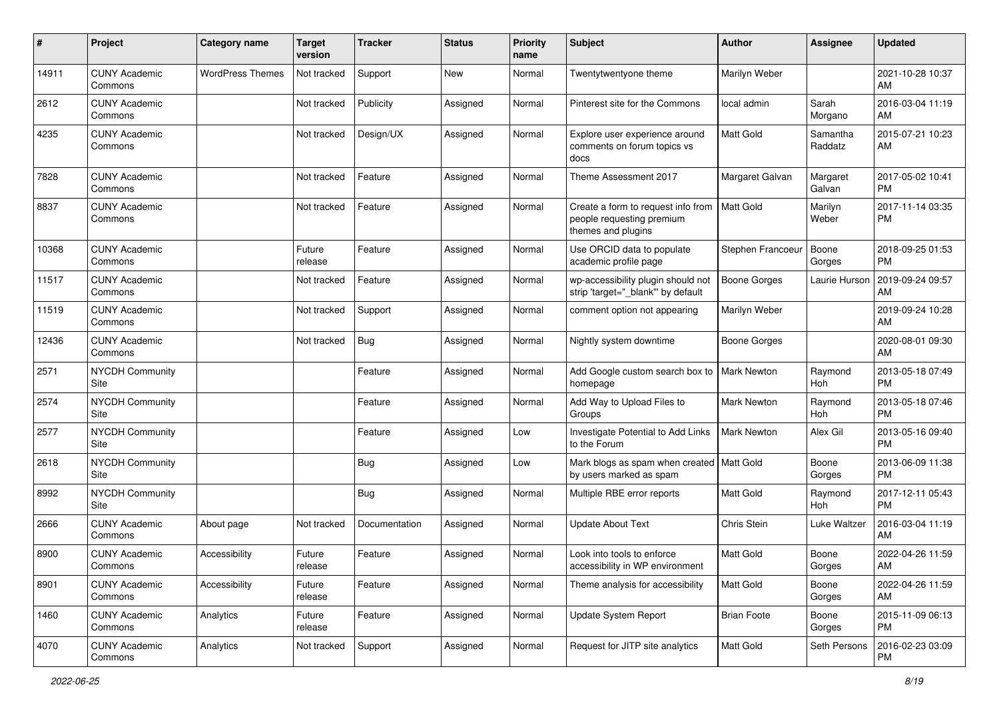| #     | Project                         | <b>Category name</b>    | Target<br>version | <b>Tracker</b> | <b>Status</b> | <b>Priority</b><br>name | <b>Subject</b>                                                                        | Author              | <b>Assignee</b>     | <b>Updated</b>                |
|-------|---------------------------------|-------------------------|-------------------|----------------|---------------|-------------------------|---------------------------------------------------------------------------------------|---------------------|---------------------|-------------------------------|
| 14911 | <b>CUNY Academic</b><br>Commons | <b>WordPress Themes</b> | Not tracked       | Support        | New           | Normal                  | Twentytwentyone theme                                                                 | Marilyn Weber       |                     | 2021-10-28 10:37<br>AM        |
| 2612  | <b>CUNY Academic</b><br>Commons |                         | Not tracked       | Publicity      | Assigned      | Normal                  | Pinterest site for the Commons                                                        | local admin         | Sarah<br>Morgano    | 2016-03-04 11:19<br>AM        |
| 4235  | <b>CUNY Academic</b><br>Commons |                         | Not tracked       | Design/UX      | Assigned      | Normal                  | Explore user experience around<br>comments on forum topics vs<br>docs                 | Matt Gold           | Samantha<br>Raddatz | 2015-07-21 10:23<br>AM        |
| 7828  | <b>CUNY Academic</b><br>Commons |                         | Not tracked       | Feature        | Assigned      | Normal                  | Theme Assessment 2017                                                                 | Margaret Galvan     | Margaret<br>Galvan  | 2017-05-02 10:41<br><b>PM</b> |
| 8837  | <b>CUNY Academic</b><br>Commons |                         | Not tracked       | Feature        | Assigned      | Normal                  | Create a form to request info from<br>people requesting premium<br>themes and plugins | <b>Matt Gold</b>    | Marilyn<br>Weber    | 2017-11-14 03:35<br><b>PM</b> |
| 10368 | <b>CUNY Academic</b><br>Commons |                         | Future<br>release | Feature        | Assigned      | Normal                  | Use ORCID data to populate<br>academic profile page                                   | Stephen Francoeur   | Boone<br>Gorges     | 2018-09-25 01:53<br><b>PM</b> |
| 11517 | <b>CUNY Academic</b><br>Commons |                         | Not tracked       | Feature        | Assigned      | Normal                  | wp-accessibility plugin should not<br>strip 'target="_blank" by default               | Boone Gorges        | Laurie Hurson       | 2019-09-24 09:57<br>AM        |
| 11519 | <b>CUNY Academic</b><br>Commons |                         | Not tracked       | Support        | Assigned      | Normal                  | comment option not appearing                                                          | Marilyn Weber       |                     | 2019-09-24 10:28<br>AM        |
| 12436 | <b>CUNY Academic</b><br>Commons |                         | Not tracked       | <b>Bug</b>     | Assigned      | Normal                  | Nightly system downtime                                                               | <b>Boone Gorges</b> |                     | 2020-08-01 09:30<br>AM        |
| 2571  | NYCDH Community<br>Site         |                         |                   | Feature        | Assigned      | Normal                  | Add Google custom search box to<br>homepage                                           | <b>Mark Newton</b>  | Raymond<br>Hoh      | 2013-05-18 07:49<br><b>PM</b> |
| 2574  | NYCDH Community<br>Site         |                         |                   | Feature        | Assigned      | Normal                  | Add Way to Upload Files to<br>Groups                                                  | <b>Mark Newton</b>  | Raymond<br>Hoh      | 2013-05-18 07:46<br><b>PM</b> |
| 2577  | <b>NYCDH Community</b><br>Site  |                         |                   | Feature        | Assigned      | Low                     | Investigate Potential to Add Links<br>to the Forum                                    | <b>Mark Newton</b>  | Alex Gil            | 2013-05-16 09:40<br><b>PM</b> |
| 2618  | <b>NYCDH Community</b><br>Site  |                         |                   | <b>Bug</b>     | Assigned      | Low                     | Mark blogs as spam when created   Matt Gold<br>by users marked as spam                |                     | Boone<br>Gorges     | 2013-06-09 11:38<br><b>PM</b> |
| 8992  | <b>NYCDH Community</b><br>Site  |                         |                   | <b>Bug</b>     | Assigned      | Normal                  | Multiple RBE error reports                                                            | Matt Gold           | Raymond<br>Hoh      | 2017-12-11 05:43<br><b>PM</b> |
| 2666  | <b>CUNY Academic</b><br>Commons | About page              | Not tracked       | Documentation  | Assigned      | Normal                  | <b>Update About Text</b>                                                              | Chris Stein         | Luke Waltzer        | 2016-03-04 11:19<br>AM        |
| 8900  | <b>CUNY Academic</b><br>Commons | Accessibility           | Future<br>release | Feature        | Assigned      | Normal                  | Look into tools to enforce<br>accessibility in WP environment                         | Matt Gold           | Boone<br>Gorges     | 2022-04-26 11:59<br>AM        |
| 8901  | <b>CUNY Academic</b><br>Commons | Accessibility           | Future<br>release | Feature        | Assigned      | Normal                  | Theme analysis for accessibility                                                      | Matt Gold           | Boone<br>Gorges     | 2022-04-26 11:59<br>AM        |
| 1460  | <b>CUNY Academic</b><br>Commons | Analytics               | Future<br>release | Feature        | Assigned      | Normal                  | Update System Report                                                                  | <b>Brian Foote</b>  | Boone<br>Gorges     | 2015-11-09 06:13<br><b>PM</b> |
| 4070  | <b>CUNY Academic</b><br>Commons | Analytics               | Not tracked       | Support        | Assigned      | Normal                  | Request for JITP site analytics                                                       | Matt Gold           | Seth Persons        | 2016-02-23 03:09<br>PM        |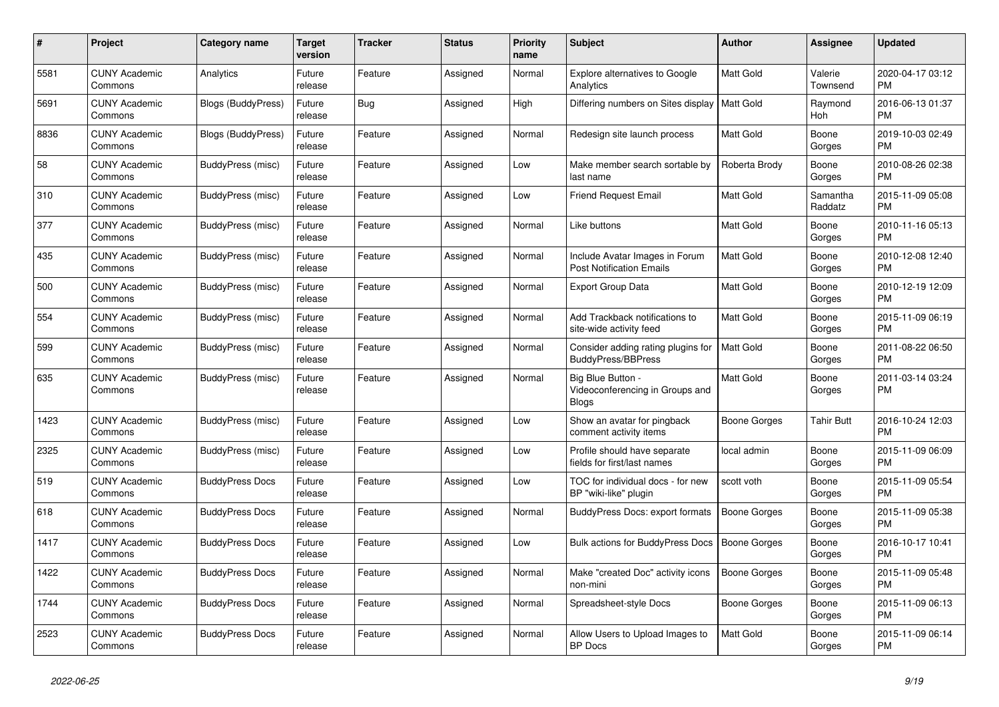| $\pmb{\#}$ | <b>Project</b>                  | Category name            | <b>Target</b><br>version | <b>Tracker</b> | <b>Status</b> | <b>Priority</b><br>name | <b>Subject</b>                                                       | <b>Author</b>       | <b>Assignee</b>     | <b>Updated</b>                |
|------------|---------------------------------|--------------------------|--------------------------|----------------|---------------|-------------------------|----------------------------------------------------------------------|---------------------|---------------------|-------------------------------|
| 5581       | <b>CUNY Academic</b><br>Commons | Analytics                | Future<br>release        | Feature        | Assigned      | Normal                  | <b>Explore alternatives to Google</b><br>Analytics                   | <b>Matt Gold</b>    | Valerie<br>Townsend | 2020-04-17 03:12<br><b>PM</b> |
| 5691       | <b>CUNY Academic</b><br>Commons | Blogs (BuddyPress)       | Future<br>release        | <b>Bug</b>     | Assigned      | High                    | Differing numbers on Sites display                                   | <b>Matt Gold</b>    | Raymond<br>Hoh      | 2016-06-13 01:37<br><b>PM</b> |
| 8836       | <b>CUNY Academic</b><br>Commons | Blogs (BuddyPress)       | Future<br>release        | Feature        | Assigned      | Normal                  | Redesign site launch process                                         | Matt Gold           | Boone<br>Gorges     | 2019-10-03 02:49<br><b>PM</b> |
| 58         | <b>CUNY Academic</b><br>Commons | BuddyPress (misc)        | Future<br>release        | Feature        | Assigned      | Low                     | Make member search sortable by<br>last name                          | Roberta Brody       | Boone<br>Gorges     | 2010-08-26 02:38<br><b>PM</b> |
| 310        | <b>CUNY Academic</b><br>Commons | BuddyPress (misc)        | Future<br>release        | Feature        | Assigned      | Low                     | <b>Friend Request Email</b>                                          | <b>Matt Gold</b>    | Samantha<br>Raddatz | 2015-11-09 05:08<br><b>PM</b> |
| 377        | <b>CUNY Academic</b><br>Commons | BuddyPress (misc)        | Future<br>release        | Feature        | Assigned      | Normal                  | Like buttons                                                         | Matt Gold           | Boone<br>Gorges     | 2010-11-16 05:13<br><b>PM</b> |
| 435        | <b>CUNY Academic</b><br>Commons | BuddyPress (misc)        | Future<br>release        | Feature        | Assigned      | Normal                  | Include Avatar Images in Forum<br><b>Post Notification Emails</b>    | <b>Matt Gold</b>    | Boone<br>Gorges     | 2010-12-08 12:40<br><b>PM</b> |
| 500        | <b>CUNY Academic</b><br>Commons | BuddyPress (misc)        | Future<br>release        | Feature        | Assigned      | Normal                  | Export Group Data                                                    | <b>Matt Gold</b>    | Boone<br>Gorges     | 2010-12-19 12:09<br><b>PM</b> |
| 554        | <b>CUNY Academic</b><br>Commons | BuddyPress (misc)        | Future<br>release        | Feature        | Assigned      | Normal                  | Add Trackback notifications to<br>site-wide activity feed            | Matt Gold           | Boone<br>Gorges     | 2015-11-09 06:19<br><b>PM</b> |
| 599        | <b>CUNY Academic</b><br>Commons | BuddyPress (misc)        | Future<br>release        | Feature        | Assigned      | Normal                  | Consider adding rating plugins for<br>BuddyPress/BBPress             | <b>Matt Gold</b>    | Boone<br>Gorges     | 2011-08-22 06:50<br><b>PM</b> |
| 635        | <b>CUNY Academic</b><br>Commons | <b>BuddyPress (misc)</b> | Future<br>release        | Feature        | Assigned      | Normal                  | Big Blue Button -<br>Videoconferencing in Groups and<br><b>Blogs</b> | <b>Matt Gold</b>    | Boone<br>Gorges     | 2011-03-14 03:24<br><b>PM</b> |
| 1423       | <b>CUNY Academic</b><br>Commons | BuddyPress (misc)        | Future<br>release        | Feature        | Assigned      | Low                     | Show an avatar for pingback<br>comment activity items                | Boone Gorges        | Tahir Butt          | 2016-10-24 12:03<br><b>PM</b> |
| 2325       | <b>CUNY Academic</b><br>Commons | BuddyPress (misc)        | Future<br>release        | Feature        | Assigned      | Low                     | Profile should have separate<br>fields for first/last names          | local admin         | Boone<br>Gorges     | 2015-11-09 06:09<br><b>PM</b> |
| 519        | <b>CUNY Academic</b><br>Commons | <b>BuddyPress Docs</b>   | Future<br>release        | Feature        | Assigned      | Low                     | TOC for individual docs - for new<br>BP "wiki-like" plugin           | scott voth          | Boone<br>Gorges     | 2015-11-09 05:54<br><b>PM</b> |
| 618        | <b>CUNY Academic</b><br>Commons | <b>BuddyPress Docs</b>   | Future<br>release        | Feature        | Assigned      | Normal                  | BuddyPress Docs: export formats                                      | Boone Gorges        | Boone<br>Gorges     | 2015-11-09 05:38<br><b>PM</b> |
| 1417       | <b>CUNY Academic</b><br>Commons | <b>BuddyPress Docs</b>   | Future<br>release        | Feature        | Assigned      | Low                     | <b>Bulk actions for BuddyPress Docs</b>                              | <b>Boone Gorges</b> | Boone<br>Gorges     | 2016-10-17 10:41<br><b>PM</b> |
| 1422       | <b>CUNY Academic</b><br>Commons | <b>BuddyPress Docs</b>   | Future<br>release        | Feature        | Assigned      | Normal                  | Make "created Doc" activity icons<br>non-mini                        | <b>Boone Gorges</b> | Boone<br>Gorges     | 2015-11-09 05:48<br><b>PM</b> |
| 1744       | <b>CUNY Academic</b><br>Commons | <b>BuddyPress Docs</b>   | Future<br>release        | Feature        | Assigned      | Normal                  | Spreadsheet-style Docs                                               | Boone Gorges        | Boone<br>Gorges     | 2015-11-09 06:13<br><b>PM</b> |
| 2523       | <b>CUNY Academic</b><br>Commons | <b>BuddyPress Docs</b>   | Future<br>release        | Feature        | Assigned      | Normal                  | Allow Users to Upload Images to<br><b>BP</b> Docs                    | <b>Matt Gold</b>    | Boone<br>Gorges     | 2015-11-09 06:14<br><b>PM</b> |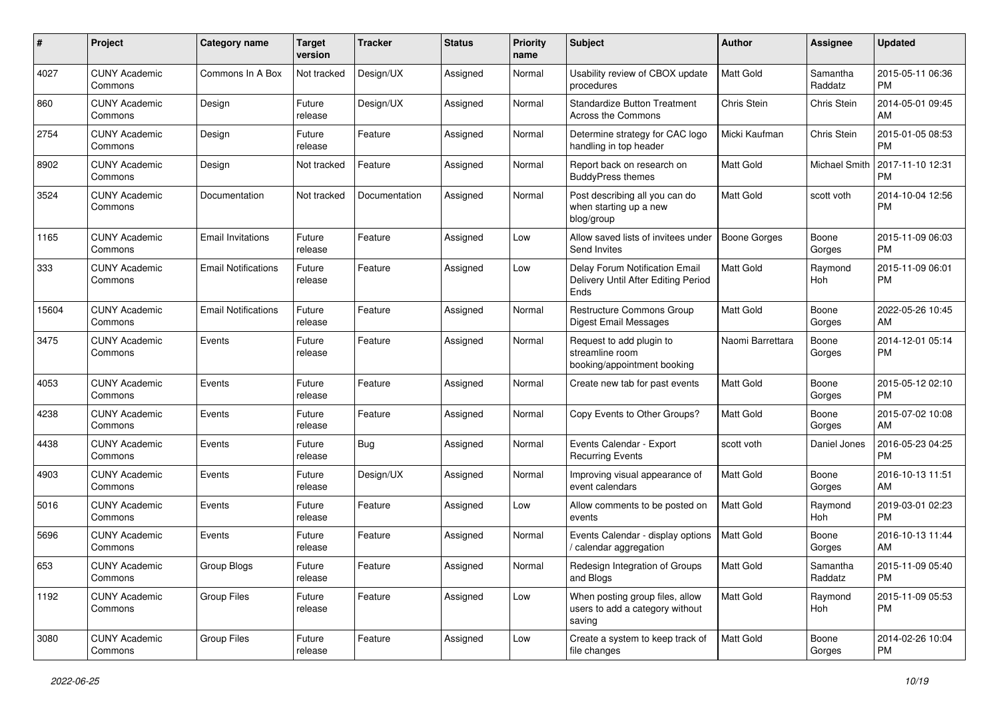| #     | Project                         | <b>Category name</b>       | <b>Target</b><br>version | <b>Tracker</b> | <b>Status</b> | <b>Priority</b><br>name | <b>Subject</b>                                                                | Author              | Assignee            | <b>Updated</b>                |
|-------|---------------------------------|----------------------------|--------------------------|----------------|---------------|-------------------------|-------------------------------------------------------------------------------|---------------------|---------------------|-------------------------------|
| 4027  | <b>CUNY Academic</b><br>Commons | Commons In A Box           | Not tracked              | Design/UX      | Assigned      | Normal                  | Usability review of CBOX update<br>procedures                                 | <b>Matt Gold</b>    | Samantha<br>Raddatz | 2015-05-11 06:36<br><b>PM</b> |
| 860   | <b>CUNY Academic</b><br>Commons | Design                     | Future<br>release        | Design/UX      | Assigned      | Normal                  | <b>Standardize Button Treatment</b><br>Across the Commons                     | Chris Stein         | Chris Stein         | 2014-05-01 09:45<br>AM        |
| 2754  | <b>CUNY Academic</b><br>Commons | Design                     | Future<br>release        | Feature        | Assigned      | Normal                  | Determine strategy for CAC logo<br>handling in top header                     | Micki Kaufman       | Chris Stein         | 2015-01-05 08:53<br><b>PM</b> |
| 8902  | <b>CUNY Academic</b><br>Commons | Design                     | Not tracked              | Feature        | Assigned      | Normal                  | Report back on research on<br><b>BuddyPress themes</b>                        | Matt Gold           | Michael Smith       | 2017-11-10 12:31<br>PM        |
| 3524  | <b>CUNY Academic</b><br>Commons | Documentation              | Not tracked              | Documentation  | Assigned      | Normal                  | Post describing all you can do<br>when starting up a new<br>blog/group        | Matt Gold           | scott voth          | 2014-10-04 12:56<br><b>PM</b> |
| 1165  | <b>CUNY Academic</b><br>Commons | <b>Email Invitations</b>   | Future<br>release        | Feature        | Assigned      | Low                     | Allow saved lists of invitees under<br>Send Invites                           | <b>Boone Gorges</b> | Boone<br>Gorges     | 2015-11-09 06:03<br><b>PM</b> |
| 333   | <b>CUNY Academic</b><br>Commons | <b>Email Notifications</b> | Future<br>release        | Feature        | Assigned      | Low                     | Delay Forum Notification Email<br>Delivery Until After Editing Period<br>Ends | Matt Gold           | Raymond<br>Hoh      | 2015-11-09 06:01<br><b>PM</b> |
| 15604 | <b>CUNY Academic</b><br>Commons | <b>Email Notifications</b> | Future<br>release        | Feature        | Assigned      | Normal                  | Restructure Commons Group<br>Digest Email Messages                            | Matt Gold           | Boone<br>Gorges     | 2022-05-26 10:45<br>AM        |
| 3475  | <b>CUNY Academic</b><br>Commons | Events                     | Future<br>release        | Feature        | Assigned      | Normal                  | Request to add plugin to<br>streamline room<br>booking/appointment booking    | Naomi Barrettara    | Boone<br>Gorges     | 2014-12-01 05:14<br><b>PM</b> |
| 4053  | <b>CUNY Academic</b><br>Commons | Events                     | Future<br>release        | Feature        | Assigned      | Normal                  | Create new tab for past events                                                | Matt Gold           | Boone<br>Gorges     | 2015-05-12 02:10<br><b>PM</b> |
| 4238  | <b>CUNY Academic</b><br>Commons | Events                     | Future<br>release        | Feature        | Assigned      | Normal                  | Copy Events to Other Groups?                                                  | Matt Gold           | Boone<br>Gorges     | 2015-07-02 10:08<br>AM        |
| 4438  | <b>CUNY Academic</b><br>Commons | Events                     | Future<br>release        | Bug            | Assigned      | Normal                  | Events Calendar - Export<br><b>Recurring Events</b>                           | scott voth          | Daniel Jones        | 2016-05-23 04:25<br><b>PM</b> |
| 4903  | <b>CUNY Academic</b><br>Commons | Events                     | Future<br>release        | Design/UX      | Assigned      | Normal                  | Improving visual appearance of<br>event calendars                             | Matt Gold           | Boone<br>Gorges     | 2016-10-13 11:51<br>AM        |
| 5016  | <b>CUNY Academic</b><br>Commons | Events                     | Future<br>release        | Feature        | Assigned      | Low                     | Allow comments to be posted on<br>events                                      | Matt Gold           | Raymond<br>Hoh      | 2019-03-01 02:23<br><b>PM</b> |
| 5696  | <b>CUNY Academic</b><br>Commons | Events                     | Future<br>release        | Feature        | Assigned      | Normal                  | Events Calendar - display options<br>/ calendar aggregation                   | Matt Gold           | Boone<br>Gorges     | 2016-10-13 11:44<br>AM        |
| 653   | <b>CUNY Academic</b><br>Commons | Group Blogs                | Future<br>release        | Feature        | Assigned      | Normal                  | Redesign Integration of Groups<br>and Blogs                                   | Matt Gold           | Samantha<br>Raddatz | 2015-11-09 05:40<br><b>PM</b> |
| 1192  | <b>CUNY Academic</b><br>Commons | Group Files                | Future<br>release        | Feature        | Assigned      | Low                     | When posting group files, allow<br>users to add a category without<br>saving  | Matt Gold           | Raymond<br>Hoh      | 2015-11-09 05:53<br><b>PM</b> |
| 3080  | <b>CUNY Academic</b><br>Commons | <b>Group Files</b>         | Future<br>release        | Feature        | Assigned      | Low                     | Create a system to keep track of<br>file changes                              | Matt Gold           | Boone<br>Gorges     | 2014-02-26 10:04<br><b>PM</b> |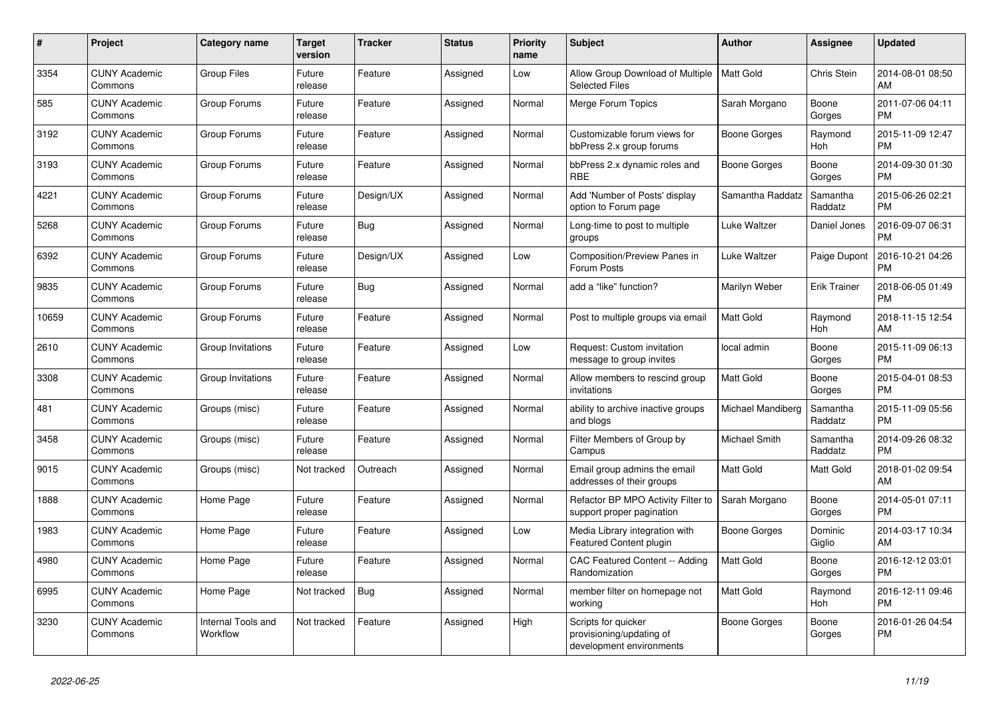| #     | Project                         | Category name                  | <b>Target</b><br>version | <b>Tracker</b> | <b>Status</b> | <b>Priority</b><br>name | <b>Subject</b>                                                              | <b>Author</b>       | <b>Assignee</b>     | <b>Updated</b>                |
|-------|---------------------------------|--------------------------------|--------------------------|----------------|---------------|-------------------------|-----------------------------------------------------------------------------|---------------------|---------------------|-------------------------------|
| 3354  | <b>CUNY Academic</b><br>Commons | <b>Group Files</b>             | Future<br>release        | Feature        | Assigned      | Low                     | Allow Group Download of Multiple<br><b>Selected Files</b>                   | <b>Matt Gold</b>    | Chris Stein         | 2014-08-01 08:50<br>AM        |
| 585   | <b>CUNY Academic</b><br>Commons | Group Forums                   | Future<br>release        | Feature        | Assigned      | Normal                  | Merge Forum Topics                                                          | Sarah Morgano       | Boone<br>Gorges     | 2011-07-06 04:11<br><b>PM</b> |
| 3192  | <b>CUNY Academic</b><br>Commons | Group Forums                   | Future<br>release        | Feature        | Assigned      | Normal                  | Customizable forum views for<br>bbPress 2.x group forums                    | Boone Gorges        | Raymond<br>Hoh      | 2015-11-09 12:47<br><b>PM</b> |
| 3193  | <b>CUNY Academic</b><br>Commons | Group Forums                   | Future<br>release        | Feature        | Assigned      | Normal                  | bbPress 2.x dynamic roles and<br><b>RBE</b>                                 | Boone Gorges        | Boone<br>Gorges     | 2014-09-30 01:30<br><b>PM</b> |
| 4221  | <b>CUNY Academic</b><br>Commons | Group Forums                   | Future<br>release        | Design/UX      | Assigned      | Normal                  | Add 'Number of Posts' display<br>option to Forum page                       | Samantha Raddatz    | Samantha<br>Raddatz | 2015-06-26 02:21<br><b>PM</b> |
| 5268  | <b>CUNY Academic</b><br>Commons | Group Forums                   | Future<br>release        | Bug            | Assigned      | Normal                  | Long-time to post to multiple<br>groups                                     | Luke Waltzer        | Daniel Jones        | 2016-09-07 06:31<br><b>PM</b> |
| 6392  | <b>CUNY Academic</b><br>Commons | Group Forums                   | Future<br>release        | Design/UX      | Assigned      | Low                     | Composition/Preview Panes in<br>Forum Posts                                 | Luke Waltzer        | Paige Dupont        | 2016-10-21 04:26<br><b>PM</b> |
| 9835  | <b>CUNY Academic</b><br>Commons | Group Forums                   | Future<br>release        | <b>Bug</b>     | Assigned      | Normal                  | add a "like" function?                                                      | Marilyn Weber       | <b>Erik Trainer</b> | 2018-06-05 01:49<br><b>PM</b> |
| 10659 | <b>CUNY Academic</b><br>Commons | Group Forums                   | Future<br>release        | Feature        | Assigned      | Normal                  | Post to multiple groups via email                                           | <b>Matt Gold</b>    | Raymond<br>Hoh      | 2018-11-15 12:54<br>AM        |
| 2610  | <b>CUNY Academic</b><br>Commons | Group Invitations              | Future<br>release        | Feature        | Assigned      | Low                     | Request: Custom invitation<br>message to group invites                      | local admin         | Boone<br>Gorges     | 2015-11-09 06:13<br><b>PM</b> |
| 3308  | <b>CUNY Academic</b><br>Commons | Group Invitations              | Future<br>release        | Feature        | Assigned      | Normal                  | Allow members to rescind group<br>invitations                               | <b>Matt Gold</b>    | Boone<br>Gorges     | 2015-04-01 08:53<br><b>PM</b> |
| 481   | <b>CUNY Academic</b><br>Commons | Groups (misc)                  | Future<br>release        | Feature        | Assigned      | Normal                  | ability to archive inactive groups<br>and blogs                             | Michael Mandiberg   | Samantha<br>Raddatz | 2015-11-09 05:56<br><b>PM</b> |
| 3458  | <b>CUNY Academic</b><br>Commons | Groups (misc)                  | Future<br>release        | Feature        | Assigned      | Normal                  | Filter Members of Group by<br>Campus                                        | Michael Smith       | Samantha<br>Raddatz | 2014-09-26 08:32<br><b>PM</b> |
| 9015  | <b>CUNY Academic</b><br>Commons | Groups (misc)                  | Not tracked              | Outreach       | Assigned      | Normal                  | Email group admins the email<br>addresses of their groups                   | Matt Gold           | Matt Gold           | 2018-01-02 09:54<br>AM        |
| 1888  | <b>CUNY Academic</b><br>Commons | Home Page                      | Future<br>release        | Feature        | Assigned      | Normal                  | Refactor BP MPO Activity Filter to<br>support proper pagination             | Sarah Morgano       | Boone<br>Gorges     | 2014-05-01 07:11<br><b>PM</b> |
| 1983  | <b>CUNY Academic</b><br>Commons | Home Page                      | Future<br>release        | Feature        | Assigned      | Low                     | Media Library integration with<br><b>Featured Content plugin</b>            | <b>Boone Gorges</b> | Dominic<br>Giglio   | 2014-03-17 10:34<br>AM        |
| 4980  | <b>CUNY Academic</b><br>Commons | Home Page                      | Future<br>release        | Feature        | Assigned      | Normal                  | <b>CAC Featured Content -- Adding</b><br>Randomization                      | <b>Matt Gold</b>    | Boone<br>Gorges     | 2016-12-12 03:01<br><b>PM</b> |
| 6995  | <b>CUNY Academic</b><br>Commons | Home Page                      | Not tracked              | Bug            | Assigned      | Normal                  | member filter on homepage not<br>working                                    | <b>Matt Gold</b>    | Raymond<br>Hoh      | 2016-12-11 09:46<br><b>PM</b> |
| 3230  | <b>CUNY Academic</b><br>Commons | Internal Tools and<br>Workflow | Not tracked              | Feature        | Assigned      | High                    | Scripts for quicker<br>provisioning/updating of<br>development environments | <b>Boone Gorges</b> | Boone<br>Gorges     | 2016-01-26 04:54<br><b>PM</b> |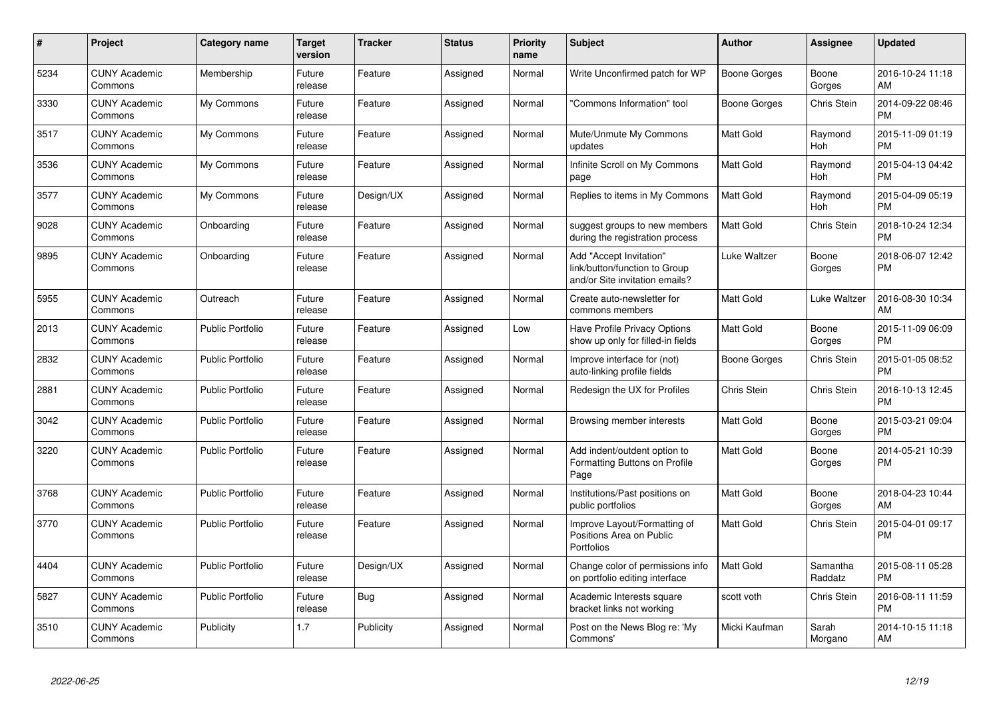| $\pmb{\#}$ | Project                         | <b>Category name</b>    | <b>Target</b><br>version | <b>Tracker</b> | <b>Status</b> | <b>Priority</b><br>name | <b>Subject</b>                                                                             | Author              | <b>Assignee</b>     | <b>Updated</b>                |
|------------|---------------------------------|-------------------------|--------------------------|----------------|---------------|-------------------------|--------------------------------------------------------------------------------------------|---------------------|---------------------|-------------------------------|
| 5234       | <b>CUNY Academic</b><br>Commons | Membership              | Future<br>release        | Feature        | Assigned      | Normal                  | Write Unconfirmed patch for WP                                                             | <b>Boone Gorges</b> | Boone<br>Gorges     | 2016-10-24 11:18<br>AM        |
| 3330       | <b>CUNY Academic</b><br>Commons | My Commons              | Future<br>release        | Feature        | Assigned      | Normal                  | 'Commons Information" tool                                                                 | Boone Gorges        | Chris Stein         | 2014-09-22 08:46<br><b>PM</b> |
| 3517       | <b>CUNY Academic</b><br>Commons | My Commons              | Future<br>release        | Feature        | Assigned      | Normal                  | Mute/Unmute My Commons<br>updates                                                          | Matt Gold           | Raymond<br>Hoh      | 2015-11-09 01:19<br><b>PM</b> |
| 3536       | <b>CUNY Academic</b><br>Commons | My Commons              | Future<br>release        | Feature        | Assigned      | Normal                  | Infinite Scroll on My Commons<br>page                                                      | <b>Matt Gold</b>    | Raymond<br>Hoh      | 2015-04-13 04:42<br><b>PM</b> |
| 3577       | <b>CUNY Academic</b><br>Commons | My Commons              | Future<br>release        | Design/UX      | Assigned      | Normal                  | Replies to items in My Commons                                                             | <b>Matt Gold</b>    | Raymond<br>Hoh      | 2015-04-09 05:19<br><b>PM</b> |
| 9028       | <b>CUNY Academic</b><br>Commons | Onboarding              | Future<br>release        | Feature        | Assigned      | Normal                  | suggest groups to new members<br>during the registration process                           | <b>Matt Gold</b>    | Chris Stein         | 2018-10-24 12:34<br><b>PM</b> |
| 9895       | <b>CUNY Academic</b><br>Commons | Onboarding              | Future<br>release        | Feature        | Assigned      | Normal                  | Add "Accept Invitation"<br>link/button/function to Group<br>and/or Site invitation emails? | Luke Waltzer        | Boone<br>Gorges     | 2018-06-07 12:42<br><b>PM</b> |
| 5955       | <b>CUNY Academic</b><br>Commons | Outreach                | Future<br>release        | Feature        | Assigned      | Normal                  | Create auto-newsletter for<br>commons members                                              | <b>Matt Gold</b>    | Luke Waltzer        | 2016-08-30 10:34<br>AM        |
| 2013       | <b>CUNY Academic</b><br>Commons | <b>Public Portfolio</b> | Future<br>release        | Feature        | Assigned      | Low                     | Have Profile Privacy Options<br>show up only for filled-in fields                          | Matt Gold           | Boone<br>Gorges     | 2015-11-09 06:09<br><b>PM</b> |
| 2832       | <b>CUNY Academic</b><br>Commons | <b>Public Portfolio</b> | Future<br>release        | Feature        | Assigned      | Normal                  | Improve interface for (not)<br>auto-linking profile fields                                 | Boone Gorges        | Chris Stein         | 2015-01-05 08:52<br><b>PM</b> |
| 2881       | <b>CUNY Academic</b><br>Commons | <b>Public Portfolio</b> | Future<br>release        | Feature        | Assigned      | Normal                  | Redesign the UX for Profiles                                                               | <b>Chris Stein</b>  | Chris Stein         | 2016-10-13 12:45<br><b>PM</b> |
| 3042       | <b>CUNY Academic</b><br>Commons | <b>Public Portfolio</b> | Future<br>release        | Feature        | Assigned      | Normal                  | Browsing member interests                                                                  | Matt Gold           | Boone<br>Gorges     | 2015-03-21 09:04<br><b>PM</b> |
| 3220       | <b>CUNY Academic</b><br>Commons | <b>Public Portfolio</b> | Future<br>release        | Feature        | Assigned      | Normal                  | Add indent/outdent option to<br>Formatting Buttons on Profile<br>Page                      | <b>Matt Gold</b>    | Boone<br>Gorges     | 2014-05-21 10:39<br><b>PM</b> |
| 3768       | <b>CUNY Academic</b><br>Commons | <b>Public Portfolio</b> | Future<br>release        | Feature        | Assigned      | Normal                  | Institutions/Past positions on<br>public portfolios                                        | <b>Matt Gold</b>    | Boone<br>Gorges     | 2018-04-23 10:44<br>AM        |
| 3770       | <b>CUNY Academic</b><br>Commons | <b>Public Portfolio</b> | Future<br>release        | Feature        | Assigned      | Normal                  | Improve Layout/Formatting of<br>Positions Area on Public<br>Portfolios                     | Matt Gold           | <b>Chris Stein</b>  | 2015-04-01 09:17<br><b>PM</b> |
| 4404       | <b>CUNY Academic</b><br>Commons | <b>Public Portfolio</b> | Future<br>release        | Design/UX      | Assigned      | Normal                  | Change color of permissions info<br>on portfolio editing interface                         | <b>Matt Gold</b>    | Samantha<br>Raddatz | 2015-08-11 05:28<br><b>PM</b> |
| 5827       | <b>CUNY Academic</b><br>Commons | <b>Public Portfolio</b> | Future<br>release        | Bug            | Assigned      | Normal                  | Academic Interests square<br>bracket links not working                                     | scott voth          | Chris Stein         | 2016-08-11 11:59<br><b>PM</b> |
| 3510       | <b>CUNY Academic</b><br>Commons | Publicity               | 1.7                      | Publicity      | Assigned      | Normal                  | Post on the News Blog re: 'My<br>Commons'                                                  | Micki Kaufman       | Sarah<br>Morgano    | 2014-10-15 11:18<br>AM        |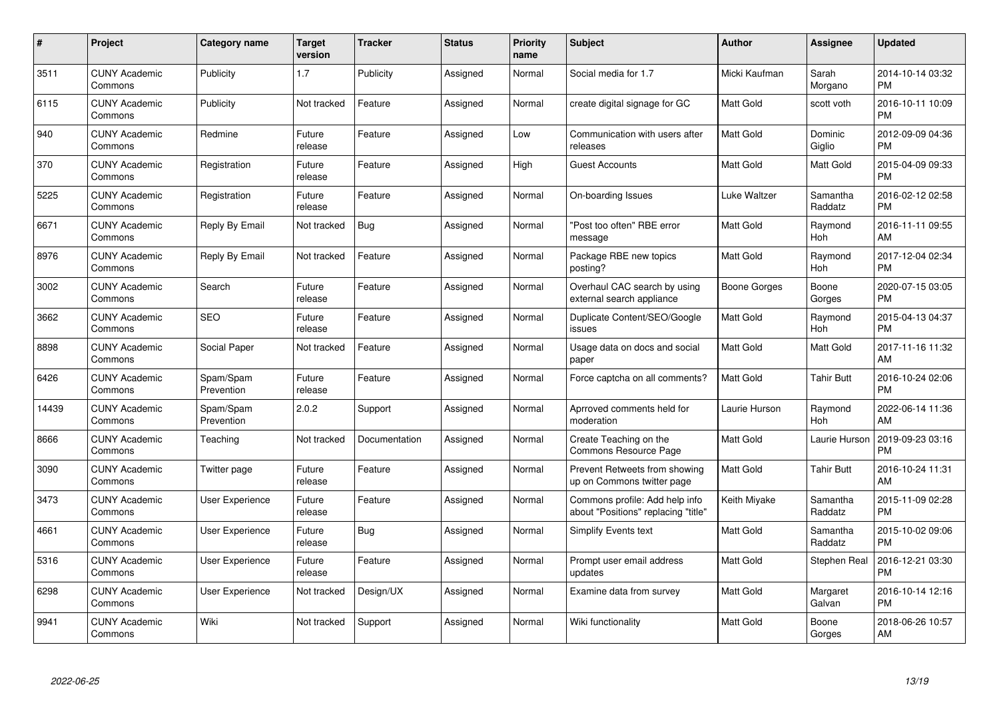| $\pmb{\#}$ | Project                         | <b>Category name</b>    | <b>Target</b><br>version | <b>Tracker</b> | <b>Status</b> | <b>Priority</b><br>name | <b>Subject</b>                                                        | Author           | <b>Assignee</b>       | <b>Updated</b>                |
|------------|---------------------------------|-------------------------|--------------------------|----------------|---------------|-------------------------|-----------------------------------------------------------------------|------------------|-----------------------|-------------------------------|
| 3511       | <b>CUNY Academic</b><br>Commons | Publicity               | 1.7                      | Publicity      | Assigned      | Normal                  | Social media for 1.7                                                  | Micki Kaufman    | Sarah<br>Morgano      | 2014-10-14 03:32<br><b>PM</b> |
| 6115       | <b>CUNY Academic</b><br>Commons | Publicity               | Not tracked              | Feature        | Assigned      | Normal                  | create digital signage for GC                                         | <b>Matt Gold</b> | scott voth            | 2016-10-11 10:09<br><b>PM</b> |
| 940        | <b>CUNY Academic</b><br>Commons | Redmine                 | Future<br>release        | Feature        | Assigned      | Low                     | Communication with users after<br>releases                            | <b>Matt Gold</b> | Dominic<br>Giglio     | 2012-09-09 04:36<br><b>PM</b> |
| 370        | <b>CUNY Academic</b><br>Commons | Registration            | Future<br>release        | Feature        | Assigned      | High                    | <b>Guest Accounts</b>                                                 | Matt Gold        | Matt Gold             | 2015-04-09 09:33<br><b>PM</b> |
| 5225       | <b>CUNY Academic</b><br>Commons | Registration            | Future<br>release        | Feature        | Assigned      | Normal                  | On-boarding Issues                                                    | Luke Waltzer     | Samantha<br>Raddatz   | 2016-02-12 02:58<br><b>PM</b> |
| 6671       | <b>CUNY Academic</b><br>Commons | Reply By Email          | Not tracked              | <b>Bug</b>     | Assigned      | Normal                  | 'Post too often" RBE error<br>message                                 | <b>Matt Gold</b> | Raymond<br><b>Hoh</b> | 2016-11-11 09:55<br>AM        |
| 8976       | <b>CUNY Academic</b><br>Commons | Reply By Email          | Not tracked              | Feature        | Assigned      | Normal                  | Package RBE new topics<br>posting?                                    | <b>Matt Gold</b> | Raymond<br>Hoh        | 2017-12-04 02:34<br><b>PM</b> |
| 3002       | <b>CUNY Academic</b><br>Commons | Search                  | Future<br>release        | Feature        | Assigned      | Normal                  | Overhaul CAC search by using<br>external search appliance             | Boone Gorges     | Boone<br>Gorges       | 2020-07-15 03:05<br><b>PM</b> |
| 3662       | <b>CUNY Academic</b><br>Commons | <b>SEO</b>              | Future<br>release        | Feature        | Assigned      | Normal                  | Duplicate Content/SEO/Google<br>issues                                | <b>Matt Gold</b> | Raymond<br>Hoh        | 2015-04-13 04:37<br><b>PM</b> |
| 8898       | <b>CUNY Academic</b><br>Commons | Social Paper            | Not tracked              | Feature        | Assigned      | Normal                  | Usage data on docs and social<br>paper                                | <b>Matt Gold</b> | <b>Matt Gold</b>      | 2017-11-16 11:32<br>AM        |
| 6426       | <b>CUNY Academic</b><br>Commons | Spam/Spam<br>Prevention | Future<br>release        | Feature        | Assigned      | Normal                  | Force captcha on all comments?                                        | Matt Gold        | <b>Tahir Butt</b>     | 2016-10-24 02:06<br><b>PM</b> |
| 14439      | <b>CUNY Academic</b><br>Commons | Spam/Spam<br>Prevention | 2.0.2                    | Support        | Assigned      | Normal                  | Aprroved comments held for<br>moderation                              | Laurie Hurson    | Raymond<br>Hoh        | 2022-06-14 11:36<br>AM        |
| 8666       | <b>CUNY Academic</b><br>Commons | Teaching                | Not tracked              | Documentation  | Assigned      | Normal                  | Create Teaching on the<br>Commons Resource Page                       | <b>Matt Gold</b> | Laurie Hurson         | 2019-09-23 03:16<br><b>PM</b> |
| 3090       | <b>CUNY Academic</b><br>Commons | Twitter page            | Future<br>release        | Feature        | Assigned      | Normal                  | Prevent Retweets from showing<br>up on Commons twitter page           | <b>Matt Gold</b> | <b>Tahir Butt</b>     | 2016-10-24 11:31<br>AM        |
| 3473       | <b>CUNY Academic</b><br>Commons | User Experience         | Future<br>release        | Feature        | Assigned      | Normal                  | Commons profile: Add help info<br>about "Positions" replacing "title" | Keith Miyake     | Samantha<br>Raddatz   | 2015-11-09 02:28<br><b>PM</b> |
| 4661       | <b>CUNY Academic</b><br>Commons | <b>User Experience</b>  | Future<br>release        | <b>Bug</b>     | Assigned      | Normal                  | Simplify Events text                                                  | <b>Matt Gold</b> | Samantha<br>Raddatz   | 2015-10-02 09:06<br><b>PM</b> |
| 5316       | <b>CUNY Academic</b><br>Commons | User Experience         | Future<br>release        | Feature        | Assigned      | Normal                  | Prompt user email address<br>updates                                  | <b>Matt Gold</b> | Stephen Real          | 2016-12-21 03:30<br><b>PM</b> |
| 6298       | <b>CUNY Academic</b><br>Commons | User Experience         | Not tracked              | Design/UX      | Assigned      | Normal                  | Examine data from survey                                              | <b>Matt Gold</b> | Margaret<br>Galvan    | 2016-10-14 12:16<br><b>PM</b> |
| 9941       | <b>CUNY Academic</b><br>Commons | Wiki                    | Not tracked              | Support        | Assigned      | Normal                  | Wiki functionality                                                    | <b>Matt Gold</b> | Boone<br>Gorges       | 2018-06-26 10:57<br>AM        |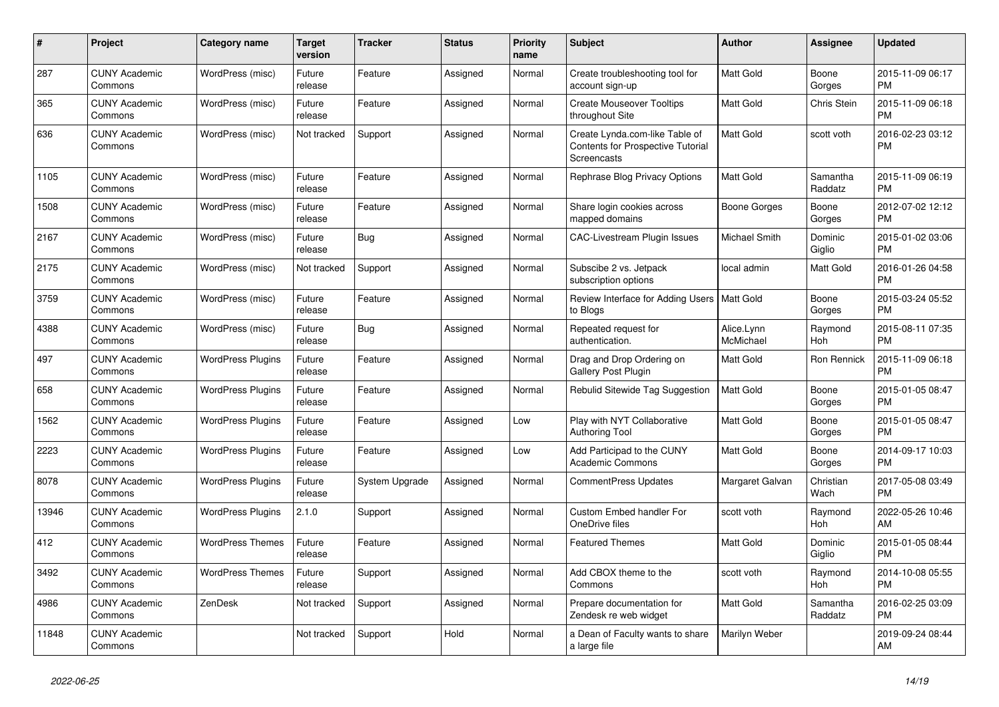| $\pmb{\#}$ | <b>Project</b>                  | Category name            | <b>Target</b><br>version | <b>Tracker</b> | <b>Status</b> | <b>Priority</b><br>name | <b>Subject</b>                                                                            | <b>Author</b>           | <b>Assignee</b>       | <b>Updated</b>                |
|------------|---------------------------------|--------------------------|--------------------------|----------------|---------------|-------------------------|-------------------------------------------------------------------------------------------|-------------------------|-----------------------|-------------------------------|
| 287        | <b>CUNY Academic</b><br>Commons | WordPress (misc)         | Future<br>release        | Feature        | Assigned      | Normal                  | Create troubleshooting tool for<br>account sign-up                                        | <b>Matt Gold</b>        | Boone<br>Gorges       | 2015-11-09 06:17<br><b>PM</b> |
| 365        | <b>CUNY Academic</b><br>Commons | WordPress (misc)         | Future<br>release        | Feature        | Assigned      | Normal                  | <b>Create Mouseover Tooltips</b><br>throughout Site                                       | <b>Matt Gold</b>        | Chris Stein           | 2015-11-09 06:18<br><b>PM</b> |
| 636        | <b>CUNY Academic</b><br>Commons | WordPress (misc)         | Not tracked              | Support        | Assigned      | Normal                  | Create Lynda.com-like Table of<br><b>Contents for Prospective Tutorial</b><br>Screencasts | Matt Gold               | scott voth            | 2016-02-23 03:12<br><b>PM</b> |
| 1105       | <b>CUNY Academic</b><br>Commons | WordPress (misc)         | Future<br>release        | Feature        | Assigned      | Normal                  | Rephrase Blog Privacy Options                                                             | <b>Matt Gold</b>        | Samantha<br>Raddatz   | 2015-11-09 06:19<br><b>PM</b> |
| 1508       | <b>CUNY Academic</b><br>Commons | WordPress (misc)         | Future<br>release        | Feature        | Assigned      | Normal                  | Share login cookies across<br>mapped domains                                              | Boone Gorges            | Boone<br>Gorges       | 2012-07-02 12:12<br><b>PM</b> |
| 2167       | <b>CUNY Academic</b><br>Commons | WordPress (misc)         | Future<br>release        | Bug            | Assigned      | Normal                  | <b>CAC-Livestream Plugin Issues</b>                                                       | Michael Smith           | Dominic<br>Giglio     | 2015-01-02 03:06<br><b>PM</b> |
| 2175       | <b>CUNY Academic</b><br>Commons | WordPress (misc)         | Not tracked              | Support        | Assigned      | Normal                  | Subscibe 2 vs. Jetpack<br>subscription options                                            | local admin             | Matt Gold             | 2016-01-26 04:58<br><b>PM</b> |
| 3759       | <b>CUNY Academic</b><br>Commons | WordPress (misc)         | Future<br>release        | Feature        | Assigned      | Normal                  | Review Interface for Adding Users   Matt Gold<br>to Blogs                                 |                         | Boone<br>Gorges       | 2015-03-24 05:52<br><b>PM</b> |
| 4388       | <b>CUNY Academic</b><br>Commons | WordPress (misc)         | Future<br>release        | Bug            | Assigned      | Normal                  | Repeated request for<br>authentication.                                                   | Alice.Lynn<br>McMichael | Raymond<br>Hoh        | 2015-08-11 07:35<br><b>PM</b> |
| 497        | <b>CUNY Academic</b><br>Commons | <b>WordPress Plugins</b> | Future<br>release        | Feature        | Assigned      | Normal                  | Drag and Drop Ordering on<br><b>Gallery Post Plugin</b>                                   | Matt Gold               | Ron Rennick           | 2015-11-09 06:18<br><b>PM</b> |
| 658        | <b>CUNY Academic</b><br>Commons | <b>WordPress Plugins</b> | Future<br>release        | Feature        | Assigned      | Normal                  | Rebulid Sitewide Tag Suggestion                                                           | <b>Matt Gold</b>        | Boone<br>Gorges       | 2015-01-05 08:47<br><b>PM</b> |
| 1562       | <b>CUNY Academic</b><br>Commons | <b>WordPress Plugins</b> | Future<br>release        | Feature        | Assigned      | Low                     | Play with NYT Collaborative<br><b>Authoring Tool</b>                                      | Matt Gold               | Boone<br>Gorges       | 2015-01-05 08:47<br><b>PM</b> |
| 2223       | <b>CUNY Academic</b><br>Commons | <b>WordPress Plugins</b> | Future<br>release        | Feature        | Assigned      | Low                     | Add Participad to the CUNY<br><b>Academic Commons</b>                                     | <b>Matt Gold</b>        | Boone<br>Gorges       | 2014-09-17 10:03<br><b>PM</b> |
| 8078       | <b>CUNY Academic</b><br>Commons | <b>WordPress Plugins</b> | Future<br>release        | System Upgrade | Assigned      | Normal                  | <b>CommentPress Updates</b>                                                               | Margaret Galvan         | Christian<br>Wach     | 2017-05-08 03:49<br><b>PM</b> |
| 13946      | <b>CUNY Academic</b><br>Commons | <b>WordPress Plugins</b> | 2.1.0                    | Support        | Assigned      | Normal                  | <b>Custom Embed handler For</b><br>OneDrive files                                         | scott voth              | Raymond<br><b>Hoh</b> | 2022-05-26 10:46<br>AM        |
| 412        | <b>CUNY Academic</b><br>Commons | <b>WordPress Themes</b>  | Future<br>release        | Feature        | Assigned      | Normal                  | <b>Featured Themes</b>                                                                    | <b>Matt Gold</b>        | Dominic<br>Giglio     | 2015-01-05 08:44<br><b>PM</b> |
| 3492       | <b>CUNY Academic</b><br>Commons | <b>WordPress Themes</b>  | Future<br>release        | Support        | Assigned      | Normal                  | Add CBOX theme to the<br>Commons                                                          | scott voth              | Raymond<br>Hoh        | 2014-10-08 05:55<br><b>PM</b> |
| 4986       | <b>CUNY Academic</b><br>Commons | ZenDesk                  | Not tracked              | Support        | Assigned      | Normal                  | Prepare documentation for<br>Zendesk re web widget                                        | Matt Gold               | Samantha<br>Raddatz   | 2016-02-25 03:09<br><b>PM</b> |
| 11848      | <b>CUNY Academic</b><br>Commons |                          | Not tracked              | Support        | Hold          | Normal                  | a Dean of Faculty wants to share<br>a large file                                          | Marilyn Weber           |                       | 2019-09-24 08:44<br>AM        |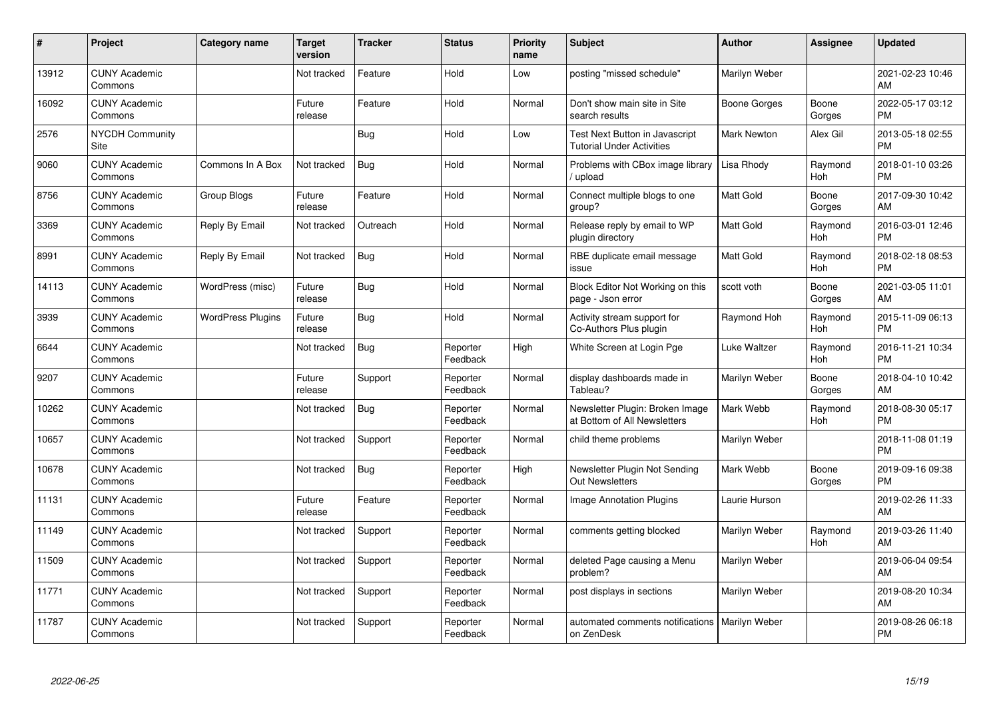| #     | Project                         | <b>Category name</b>     | Target<br>version | <b>Tracker</b> | <b>Status</b>        | <b>Priority</b><br>name | <b>Subject</b>                                                     | <b>Author</b>    | <b>Assignee</b>       | <b>Updated</b>                |
|-------|---------------------------------|--------------------------|-------------------|----------------|----------------------|-------------------------|--------------------------------------------------------------------|------------------|-----------------------|-------------------------------|
| 13912 | <b>CUNY Academic</b><br>Commons |                          | Not tracked       | Feature        | Hold                 | Low                     | posting "missed schedule"                                          | Marilyn Weber    |                       | 2021-02-23 10:46<br>AM        |
| 16092 | <b>CUNY Academic</b><br>Commons |                          | Future<br>release | Feature        | Hold                 | Normal                  | Don't show main site in Site<br>search results                     | Boone Gorges     | Boone<br>Gorges       | 2022-05-17 03:12<br><b>PM</b> |
| 2576  | <b>NYCDH Community</b><br>Site  |                          |                   | <b>Bug</b>     | Hold                 | Low                     | Test Next Button in Javascript<br><b>Tutorial Under Activities</b> | Mark Newton      | Alex Gil              | 2013-05-18 02:55<br><b>PM</b> |
| 9060  | <b>CUNY Academic</b><br>Commons | Commons In A Box         | Not tracked       | <b>Bug</b>     | Hold                 | Normal                  | Problems with CBox image library<br>upload                         | Lisa Rhody       | Raymond<br>Hoh        | 2018-01-10 03:26<br><b>PM</b> |
| 8756  | <b>CUNY Academic</b><br>Commons | Group Blogs              | Future<br>release | Feature        | Hold                 | Normal                  | Connect multiple blogs to one<br>group?                            | <b>Matt Gold</b> | Boone<br>Gorges       | 2017-09-30 10:42<br>AM        |
| 3369  | <b>CUNY Academic</b><br>Commons | Reply By Email           | Not tracked       | Outreach       | Hold                 | Normal                  | Release reply by email to WP<br>plugin directory                   | Matt Gold        | Raymond<br><b>Hoh</b> | 2016-03-01 12:46<br><b>PM</b> |
| 8991  | <b>CUNY Academic</b><br>Commons | Reply By Email           | Not tracked       | <b>Bug</b>     | Hold                 | Normal                  | RBE duplicate email message<br>issue                               | Matt Gold        | Raymond<br>Hoh        | 2018-02-18 08:53<br><b>PM</b> |
| 14113 | <b>CUNY Academic</b><br>Commons | WordPress (misc)         | Future<br>release | Bug            | Hold                 | Normal                  | Block Editor Not Working on this<br>page - Json error              | scott voth       | Boone<br>Gorges       | 2021-03-05 11:01<br>AM        |
| 3939  | <b>CUNY Academic</b><br>Commons | <b>WordPress Plugins</b> | Future<br>release | <b>Bug</b>     | Hold                 | Normal                  | Activity stream support for<br>Co-Authors Plus plugin              | Raymond Hoh      | Raymond<br>Hoh        | 2015-11-09 06:13<br><b>PM</b> |
| 6644  | <b>CUNY Academic</b><br>Commons |                          | Not tracked       | <b>Bug</b>     | Reporter<br>Feedback | High                    | White Screen at Login Pge                                          | Luke Waltzer     | Raymond<br>Hoh        | 2016-11-21 10:34<br><b>PM</b> |
| 9207  | <b>CUNY Academic</b><br>Commons |                          | Future<br>release | Support        | Reporter<br>Feedback | Normal                  | display dashboards made in<br>Tableau?                             | Marilyn Weber    | Boone<br>Gorges       | 2018-04-10 10:42<br>AM        |
| 10262 | <b>CUNY Academic</b><br>Commons |                          | Not tracked       | Bug            | Reporter<br>Feedback | Normal                  | Newsletter Plugin: Broken Image<br>at Bottom of All Newsletters    | Mark Webb        | Raymond<br>Hoh        | 2018-08-30 05:17<br><b>PM</b> |
| 10657 | <b>CUNY Academic</b><br>Commons |                          | Not tracked       | Support        | Reporter<br>Feedback | Normal                  | child theme problems                                               | Marilyn Weber    |                       | 2018-11-08 01:19<br><b>PM</b> |
| 10678 | <b>CUNY Academic</b><br>Commons |                          | Not tracked       | Bug            | Reporter<br>Feedback | High                    | Newsletter Plugin Not Sending<br><b>Out Newsletters</b>            | Mark Webb        | Boone<br>Gorges       | 2019-09-16 09:38<br><b>PM</b> |
| 11131 | <b>CUNY Academic</b><br>Commons |                          | Future<br>release | Feature        | Reporter<br>Feedback | Normal                  | Image Annotation Plugins                                           | Laurie Hurson    |                       | 2019-02-26 11:33<br>AM        |
| 11149 | <b>CUNY Academic</b><br>Commons |                          | Not tracked       | Support        | Reporter<br>Feedback | Normal                  | comments getting blocked                                           | Marilyn Weber    | Raymond<br>Hoh        | 2019-03-26 11:40<br>AM        |
| 11509 | <b>CUNY Academic</b><br>Commons |                          | Not tracked       | Support        | Reporter<br>Feedback | Normal                  | deleted Page causing a Menu<br>problem?                            | Marilyn Weber    |                       | 2019-06-04 09:54<br>AM        |
| 11771 | <b>CUNY Academic</b><br>Commons |                          | Not tracked       | Support        | Reporter<br>Feedback | Normal                  | post displays in sections                                          | Marilyn Weber    |                       | 2019-08-20 10:34<br>AM        |
| 11787 | <b>CUNY Academic</b><br>Commons |                          | Not tracked       | Support        | Reporter<br>Feedback | Normal                  | automated comments notifications   Marilyn Weber<br>on ZenDesk     |                  |                       | 2019-08-26 06:18<br>PM        |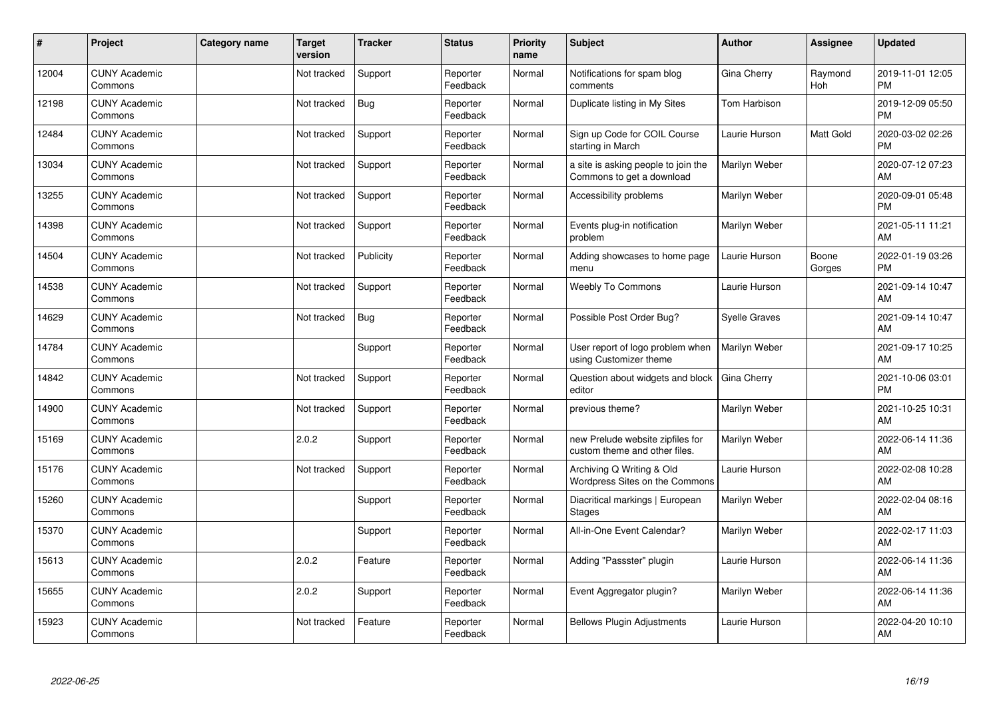| #     | Project                         | <b>Category name</b> | <b>Target</b><br>version | <b>Tracker</b> | <b>Status</b>        | <b>Priority</b><br>name | <b>Subject</b>                                                    | Author        | <b>Assignee</b> | <b>Updated</b>                |
|-------|---------------------------------|----------------------|--------------------------|----------------|----------------------|-------------------------|-------------------------------------------------------------------|---------------|-----------------|-------------------------------|
| 12004 | <b>CUNY Academic</b><br>Commons |                      | Not tracked              | Support        | Reporter<br>Feedback | Normal                  | Notifications for spam blog<br>comments                           | Gina Cherry   | Raymond<br>Hoh  | 2019-11-01 12:05<br><b>PM</b> |
| 12198 | <b>CUNY Academic</b><br>Commons |                      | Not tracked              | <b>Bug</b>     | Reporter<br>Feedback | Normal                  | Duplicate listing in My Sites                                     | Tom Harbison  |                 | 2019-12-09 05:50<br><b>PM</b> |
| 12484 | <b>CUNY Academic</b><br>Commons |                      | Not tracked              | Support        | Reporter<br>Feedback | Normal                  | Sign up Code for COIL Course<br>starting in March                 | Laurie Hurson | Matt Gold       | 2020-03-02 02:26<br><b>PM</b> |
| 13034 | <b>CUNY Academic</b><br>Commons |                      | Not tracked              | Support        | Reporter<br>Feedback | Normal                  | a site is asking people to join the<br>Commons to get a download  | Marilyn Weber |                 | 2020-07-12 07:23<br>AM        |
| 13255 | <b>CUNY Academic</b><br>Commons |                      | Not tracked              | Support        | Reporter<br>Feedback | Normal                  | Accessibility problems                                            | Marilyn Weber |                 | 2020-09-01 05:48<br><b>PM</b> |
| 14398 | <b>CUNY Academic</b><br>Commons |                      | Not tracked              | Support        | Reporter<br>Feedback | Normal                  | Events plug-in notification<br>problem                            | Marilyn Weber |                 | 2021-05-11 11:21<br>AM        |
| 14504 | <b>CUNY Academic</b><br>Commons |                      | Not tracked              | Publicity      | Reporter<br>Feedback | Normal                  | Adding showcases to home page<br>menu                             | Laurie Hurson | Boone<br>Gorges | 2022-01-19 03:26<br><b>PM</b> |
| 14538 | <b>CUNY Academic</b><br>Commons |                      | Not tracked              | Support        | Reporter<br>Feedback | Normal                  | Weebly To Commons                                                 | Laurie Hurson |                 | 2021-09-14 10:47<br>AM        |
| 14629 | <b>CUNY Academic</b><br>Commons |                      | Not tracked              | <b>Bug</b>     | Reporter<br>Feedback | Normal                  | Possible Post Order Bug?                                          | Syelle Graves |                 | 2021-09-14 10:47<br>AM        |
| 14784 | <b>CUNY Academic</b><br>Commons |                      |                          | Support        | Reporter<br>Feedback | Normal                  | User report of logo problem when<br>using Customizer theme        | Marilyn Weber |                 | 2021-09-17 10:25<br>AM        |
| 14842 | <b>CUNY Academic</b><br>Commons |                      | Not tracked              | Support        | Reporter<br>Feedback | Normal                  | Question about widgets and block<br>editor                        | Gina Cherry   |                 | 2021-10-06 03:01<br><b>PM</b> |
| 14900 | <b>CUNY Academic</b><br>Commons |                      | Not tracked              | Support        | Reporter<br>Feedback | Normal                  | previous theme?                                                   | Marilyn Weber |                 | 2021-10-25 10:31<br>AM        |
| 15169 | <b>CUNY Academic</b><br>Commons |                      | 2.0.2                    | Support        | Reporter<br>Feedback | Normal                  | new Prelude website zipfiles for<br>custom theme and other files. | Marilyn Weber |                 | 2022-06-14 11:36<br>AM        |
| 15176 | <b>CUNY Academic</b><br>Commons |                      | Not tracked              | Support        | Reporter<br>Feedback | Normal                  | Archiving Q Writing & Old<br>Wordpress Sites on the Commons       | Laurie Hurson |                 | 2022-02-08 10:28<br>AM        |
| 15260 | <b>CUNY Academic</b><br>Commons |                      |                          | Support        | Reporter<br>Feedback | Normal                  | Diacritical markings   European<br><b>Stages</b>                  | Marilyn Weber |                 | 2022-02-04 08:16<br>AM        |
| 15370 | <b>CUNY Academic</b><br>Commons |                      |                          | Support        | Reporter<br>Feedback | Normal                  | All-in-One Event Calendar?                                        | Marilyn Weber |                 | 2022-02-17 11:03<br>AM        |
| 15613 | <b>CUNY Academic</b><br>Commons |                      | 2.0.2                    | Feature        | Reporter<br>Feedback | Normal                  | Adding "Passster" plugin                                          | Laurie Hurson |                 | 2022-06-14 11:36<br>AM        |
| 15655 | <b>CUNY Academic</b><br>Commons |                      | 2.0.2                    | Support        | Reporter<br>Feedback | Normal                  | Event Aggregator plugin?                                          | Marilyn Weber |                 | 2022-06-14 11:36<br>AM        |
| 15923 | <b>CUNY Academic</b><br>Commons |                      | Not tracked              | Feature        | Reporter<br>Feedback | Normal                  | <b>Bellows Plugin Adjustments</b>                                 | Laurie Hurson |                 | 2022-04-20 10:10<br>AM        |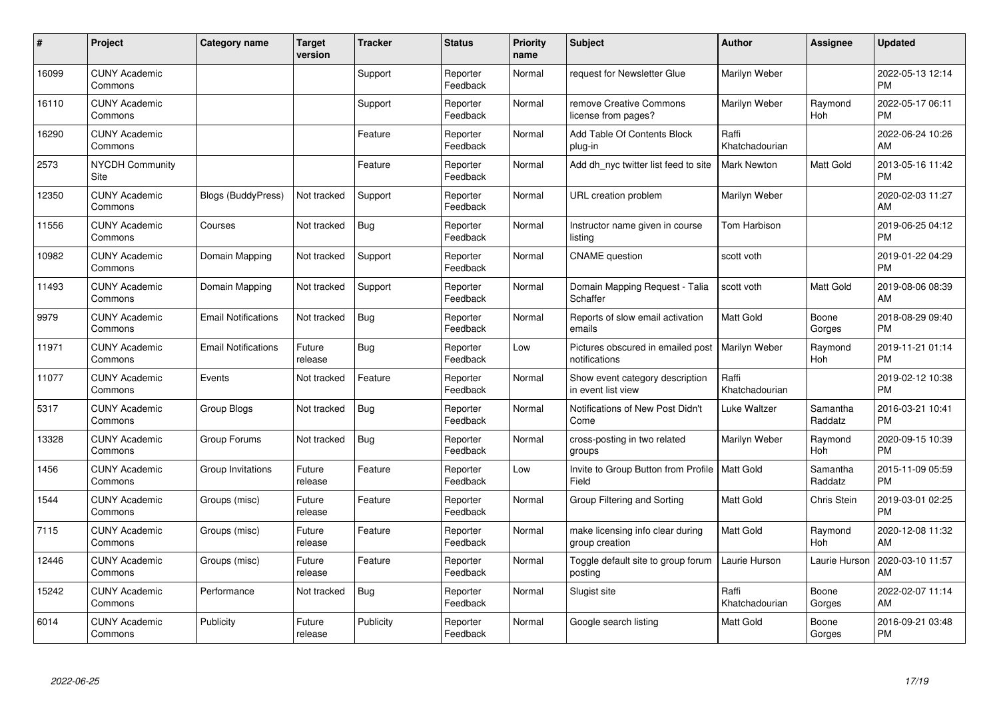| #     | Project                         | <b>Category name</b>       | <b>Target</b><br>version | <b>Tracker</b> | <b>Status</b>        | <b>Priority</b><br>name | <b>Subject</b>                                           | <b>Author</b>           | <b>Assignee</b>       | <b>Updated</b>                |
|-------|---------------------------------|----------------------------|--------------------------|----------------|----------------------|-------------------------|----------------------------------------------------------|-------------------------|-----------------------|-------------------------------|
| 16099 | <b>CUNY Academic</b><br>Commons |                            |                          | Support        | Reporter<br>Feedback | Normal                  | request for Newsletter Glue                              | Marilyn Weber           |                       | 2022-05-13 12:14<br><b>PM</b> |
| 16110 | <b>CUNY Academic</b><br>Commons |                            |                          | Support        | Reporter<br>Feedback | Normal                  | remove Creative Commons<br>license from pages?           | Marilyn Weber           | Raymond<br><b>Hoh</b> | 2022-05-17 06:11<br><b>PM</b> |
| 16290 | <b>CUNY Academic</b><br>Commons |                            |                          | Feature        | Reporter<br>Feedback | Normal                  | Add Table Of Contents Block<br>plug-in                   | Raffi<br>Khatchadourian |                       | 2022-06-24 10:26<br>AM        |
| 2573  | NYCDH Community<br><b>Site</b>  |                            |                          | Feature        | Reporter<br>Feedback | Normal                  | Add dh nyc twitter list feed to site                     | <b>Mark Newton</b>      | Matt Gold             | 2013-05-16 11:42<br><b>PM</b> |
| 12350 | <b>CUNY Academic</b><br>Commons | Blogs (BuddyPress)         | Not tracked              | Support        | Reporter<br>Feedback | Normal                  | URL creation problem                                     | Marilyn Weber           |                       | 2020-02-03 11:27<br>AM        |
| 11556 | <b>CUNY Academic</b><br>Commons | Courses                    | Not tracked              | Bug            | Reporter<br>Feedback | Normal                  | Instructor name given in course<br>listing               | Tom Harbison            |                       | 2019-06-25 04:12<br><b>PM</b> |
| 10982 | <b>CUNY Academic</b><br>Commons | Domain Mapping             | Not tracked              | Support        | Reporter<br>Feedback | Normal                  | <b>CNAME</b> question                                    | scott voth              |                       | 2019-01-22 04:29<br><b>PM</b> |
| 11493 | <b>CUNY Academic</b><br>Commons | Domain Mapping             | Not tracked              | Support        | Reporter<br>Feedback | Normal                  | Domain Mapping Request - Talia<br>Schaffer               | scott voth              | Matt Gold             | 2019-08-06 08:39<br>AM        |
| 9979  | <b>CUNY Academic</b><br>Commons | <b>Email Notifications</b> | Not tracked              | Bug            | Reporter<br>Feedback | Normal                  | Reports of slow email activation<br>emails               | <b>Matt Gold</b>        | Boone<br>Gorges       | 2018-08-29 09:40<br><b>PM</b> |
| 11971 | <b>CUNY Academic</b><br>Commons | <b>Email Notifications</b> | Future<br>release        | <b>Bug</b>     | Reporter<br>Feedback | Low                     | Pictures obscured in emailed post<br>notifications       | Marilyn Weber           | Raymond<br>Hoh        | 2019-11-21 01:14<br><b>PM</b> |
| 11077 | <b>CUNY Academic</b><br>Commons | Events                     | Not tracked              | Feature        | Reporter<br>Feedback | Normal                  | Show event category description<br>in event list view    | Raffi<br>Khatchadourian |                       | 2019-02-12 10:38<br><b>PM</b> |
| 5317  | <b>CUNY Academic</b><br>Commons | Group Blogs                | Not tracked              | <b>Bug</b>     | Reporter<br>Feedback | Normal                  | Notifications of New Post Didn't<br>Come                 | Luke Waltzer            | Samantha<br>Raddatz   | 2016-03-21 10:41<br><b>PM</b> |
| 13328 | <b>CUNY Academic</b><br>Commons | Group Forums               | Not tracked              | Bug            | Reporter<br>Feedback | Normal                  | cross-posting in two related<br>groups                   | Marilyn Weber           | Raymond<br>Hoh        | 2020-09-15 10:39<br><b>PM</b> |
| 1456  | <b>CUNY Academic</b><br>Commons | Group Invitations          | Future<br>release        | Feature        | Reporter<br>Feedback | Low                     | Invite to Group Button from Profile   Matt Gold<br>Field |                         | Samantha<br>Raddatz   | 2015-11-09 05:59<br><b>PM</b> |
| 1544  | <b>CUNY Academic</b><br>Commons | Groups (misc)              | Future<br>release        | Feature        | Reporter<br>Feedback | Normal                  | Group Filtering and Sorting                              | Matt Gold               | Chris Stein           | 2019-03-01 02:25<br><b>PM</b> |
| 7115  | <b>CUNY Academic</b><br>Commons | Groups (misc)              | Future<br>release        | Feature        | Reporter<br>Feedback | Normal                  | make licensing info clear during<br>group creation       | <b>Matt Gold</b>        | Raymond<br>Hoh        | 2020-12-08 11:32<br>AM        |
| 12446 | <b>CUNY Academic</b><br>Commons | Groups (misc)              | Future<br>release        | Feature        | Reporter<br>Feedback | Normal                  | Toggle default site to group forum<br>posting            | Laurie Hurson           | Laurie Hurson         | 2020-03-10 11:57<br>AM        |
| 15242 | <b>CUNY Academic</b><br>Commons | Performance                | Not tracked              | <b>Bug</b>     | Reporter<br>Feedback | Normal                  | Slugist site                                             | Raffi<br>Khatchadourian | Boone<br>Gorges       | 2022-02-07 11:14<br>AM        |
| 6014  | <b>CUNY Academic</b><br>Commons | Publicity                  | Future<br>release        | Publicity      | Reporter<br>Feedback | Normal                  | Google search listing                                    | <b>Matt Gold</b>        | Boone<br>Gorges       | 2016-09-21 03:48<br><b>PM</b> |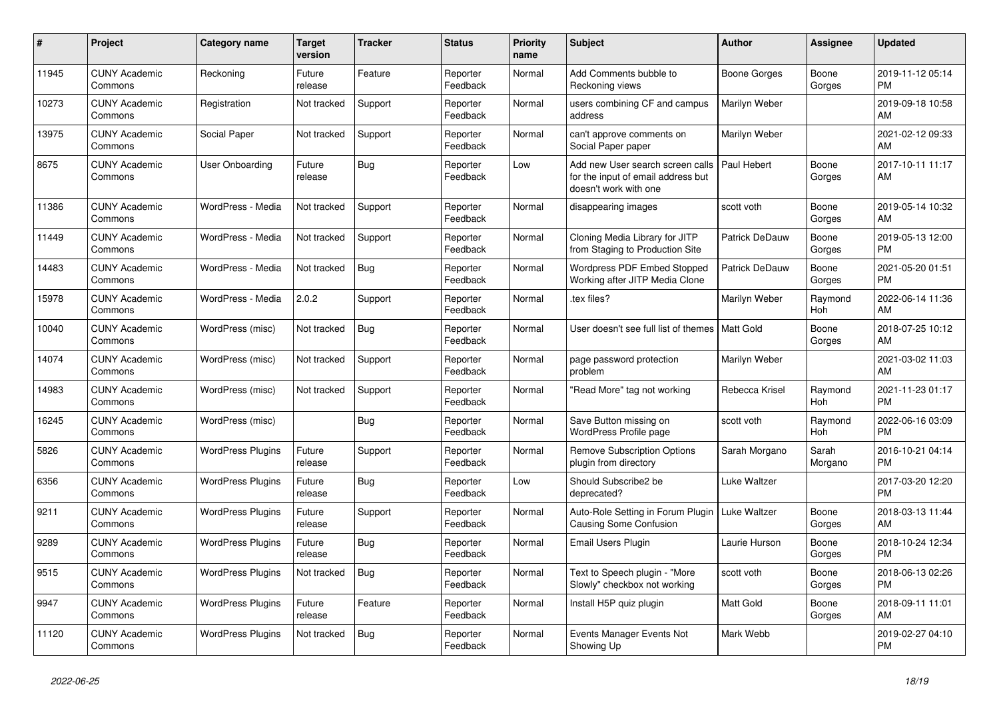| #     | <b>Project</b>                  | Category name            | <b>Target</b><br>version | <b>Tracker</b> | <b>Status</b>        | <b>Priority</b><br>name | <b>Subject</b>                                                                                  | <b>Author</b>         | <b>Assignee</b>  | <b>Updated</b>                |
|-------|---------------------------------|--------------------------|--------------------------|----------------|----------------------|-------------------------|-------------------------------------------------------------------------------------------------|-----------------------|------------------|-------------------------------|
| 11945 | <b>CUNY Academic</b><br>Commons | Reckoning                | Future<br>release        | Feature        | Reporter<br>Feedback | Normal                  | Add Comments bubble to<br>Reckoning views                                                       | Boone Gorges          | Boone<br>Gorges  | 2019-11-12 05:14<br><b>PM</b> |
| 10273 | <b>CUNY Academic</b><br>Commons | Registration             | Not tracked              | Support        | Reporter<br>Feedback | Normal                  | users combining CF and campus<br>address                                                        | Marilyn Weber         |                  | 2019-09-18 10:58<br>AM        |
| 13975 | <b>CUNY Academic</b><br>Commons | Social Paper             | Not tracked              | Support        | Reporter<br>Feedback | Normal                  | can't approve comments on<br>Social Paper paper                                                 | Marilyn Weber         |                  | 2021-02-12 09:33<br>AM        |
| 8675  | <b>CUNY Academic</b><br>Commons | <b>User Onboarding</b>   | Future<br>release        | Bug            | Reporter<br>Feedback | Low                     | Add new User search screen calls<br>for the input of email address but<br>doesn't work with one | Paul Hebert           | Boone<br>Gorges  | 2017-10-11 11:17<br>AM        |
| 11386 | <b>CUNY Academic</b><br>Commons | WordPress - Media        | Not tracked              | Support        | Reporter<br>Feedback | Normal                  | disappearing images                                                                             | scott voth            | Boone<br>Gorges  | 2019-05-14 10:32<br>AM        |
| 11449 | <b>CUNY Academic</b><br>Commons | WordPress - Media        | Not tracked              | Support        | Reporter<br>Feedback | Normal                  | Cloning Media Library for JITP<br>from Staging to Production Site                               | Patrick DeDauw        | Boone<br>Gorges  | 2019-05-13 12:00<br><b>PM</b> |
| 14483 | <b>CUNY Academic</b><br>Commons | WordPress - Media        | Not tracked              | <b>Bug</b>     | Reporter<br>Feedback | Normal                  | Wordpress PDF Embed Stopped<br>Working after JITP Media Clone                                   | <b>Patrick DeDauw</b> | Boone<br>Gorges  | 2021-05-20 01:51<br><b>PM</b> |
| 15978 | <b>CUNY Academic</b><br>Commons | WordPress - Media        | 2.0.2                    | Support        | Reporter<br>Feedback | Normal                  | tex files?                                                                                      | Marilyn Weber         | Raymond<br>Hoh   | 2022-06-14 11:36<br>AM        |
| 10040 | <b>CUNY Academic</b><br>Commons | WordPress (misc)         | Not tracked              | <b>Bug</b>     | Reporter<br>Feedback | Normal                  | User doesn't see full list of themes   Matt Gold                                                |                       | Boone<br>Gorges  | 2018-07-25 10:12<br>AM        |
| 14074 | <b>CUNY Academic</b><br>Commons | WordPress (misc)         | Not tracked              | Support        | Reporter<br>Feedback | Normal                  | page password protection<br>problem                                                             | Marilyn Weber         |                  | 2021-03-02 11:03<br>AM        |
| 14983 | <b>CUNY Academic</b><br>Commons | WordPress (misc)         | Not tracked              | Support        | Reporter<br>Feedback | Normal                  | 'Read More" tag not working                                                                     | Rebecca Krisel        | Raymond<br>Hoh   | 2021-11-23 01:17<br><b>PM</b> |
| 16245 | <b>CUNY Academic</b><br>Commons | WordPress (misc)         |                          | Bug            | Reporter<br>Feedback | Normal                  | Save Button missing on<br>WordPress Profile page                                                | scott voth            | Raymond<br>Hoh   | 2022-06-16 03:09<br><b>PM</b> |
| 5826  | <b>CUNY Academic</b><br>Commons | <b>WordPress Plugins</b> | Future<br>release        | Support        | Reporter<br>Feedback | Normal                  | <b>Remove Subscription Options</b><br>plugin from directory                                     | Sarah Morgano         | Sarah<br>Morgano | 2016-10-21 04:14<br><b>PM</b> |
| 6356  | <b>CUNY Academic</b><br>Commons | <b>WordPress Plugins</b> | Future<br>release        | Bug            | Reporter<br>Feedback | Low                     | Should Subscribe2 be<br>deprecated?                                                             | Luke Waltzer          |                  | 2017-03-20 12:20<br><b>PM</b> |
| 9211  | <b>CUNY Academic</b><br>Commons | <b>WordPress Plugins</b> | Future<br>release        | Support        | Reporter<br>Feedback | Normal                  | Auto-Role Setting in Forum Plugin<br>Causing Some Confusion                                     | Luke Waltzer          | Boone<br>Gorges  | 2018-03-13 11:44<br>AM        |
| 9289  | <b>CUNY Academic</b><br>Commons | <b>WordPress Plugins</b> | Future<br>release        | <b>Bug</b>     | Reporter<br>Feedback | Normal                  | <b>Email Users Plugin</b>                                                                       | Laurie Hurson         | Boone<br>Gorges  | 2018-10-24 12:34<br><b>PM</b> |
| 9515  | <b>CUNY Academic</b><br>Commons | <b>WordPress Plugins</b> | Not tracked              | Bug            | Reporter<br>Feedback | Normal                  | Text to Speech plugin - "More<br>Slowly" checkbox not working                                   | scott voth            | Boone<br>Gorges  | 2018-06-13 02:26<br><b>PM</b> |
| 9947  | <b>CUNY Academic</b><br>Commons | <b>WordPress Plugins</b> | Future<br>release        | Feature        | Reporter<br>Feedback | Normal                  | Install H5P quiz plugin                                                                         | Matt Gold             | Boone<br>Gorges  | 2018-09-11 11:01<br>AM        |
| 11120 | <b>CUNY Academic</b><br>Commons | <b>WordPress Plugins</b> | Not tracked              | <b>Bug</b>     | Reporter<br>Feedback | Normal                  | Events Manager Events Not<br>Showing Up                                                         | Mark Webb             |                  | 2019-02-27 04:10<br><b>PM</b> |